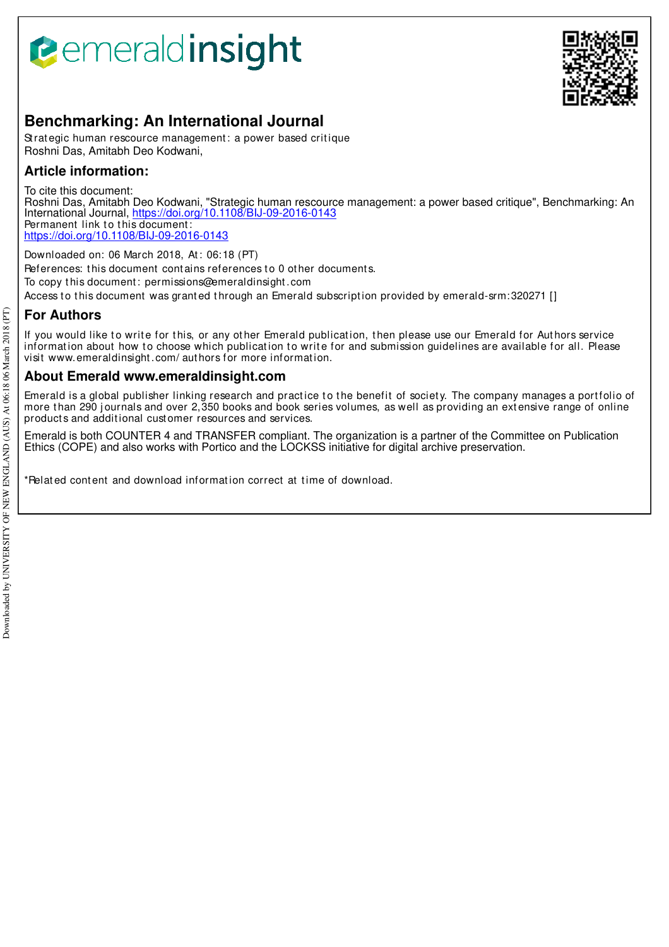# **B**emeraldinsight



# **Benchmarking: An International Journal**

Strategic human rescource management: a power based critique Roshni Das, Amitabh Deo Kodwani,

# **Article information:**

To cite this document: Roshni Das, Amitabh Deo Kodwani, "Strategic human rescource management: a power based critique", Benchmarking: An International Journal, https://doi.org/10.1108/BIJ-09-2016-0143 Permanent link to this document: https://doi.org/10.1108/BIJ-09-2016-0143

Downloaded on: 06 March 2018, At : 06:18 (PT)

References: this document contains references to 0 other documents.

To copy t his document : permissions@emeraldinsight .com

Access to this document was granted through an Emerald subscription provided by emerald-srm:320271 []

# **For Authors**

If you would like to write for this, or any other Emerald publication, then please use our Emerald for Authors service information about how to choose which publication to write for and submission guidelines are available for all. Please visit www.emeraldinsight.com/ authors for more information.

# **About Emerald www.emeraldinsight.com**

Emerald is a global publisher linking research and practice to the benefit of society. The company manages a portfolio of more than 290 journals and over 2,350 books and book series volumes, as well as providing an extensive range of online products and additional customer resources and services.

Emerald is both COUNTER 4 and TRANSFER compliant. The organization is a partner of the Committee on Publication Ethics (COPE) and also works with Portico and the LOCKSS initiative for digital archive preservation.

\*Related content and download information correct at time of download.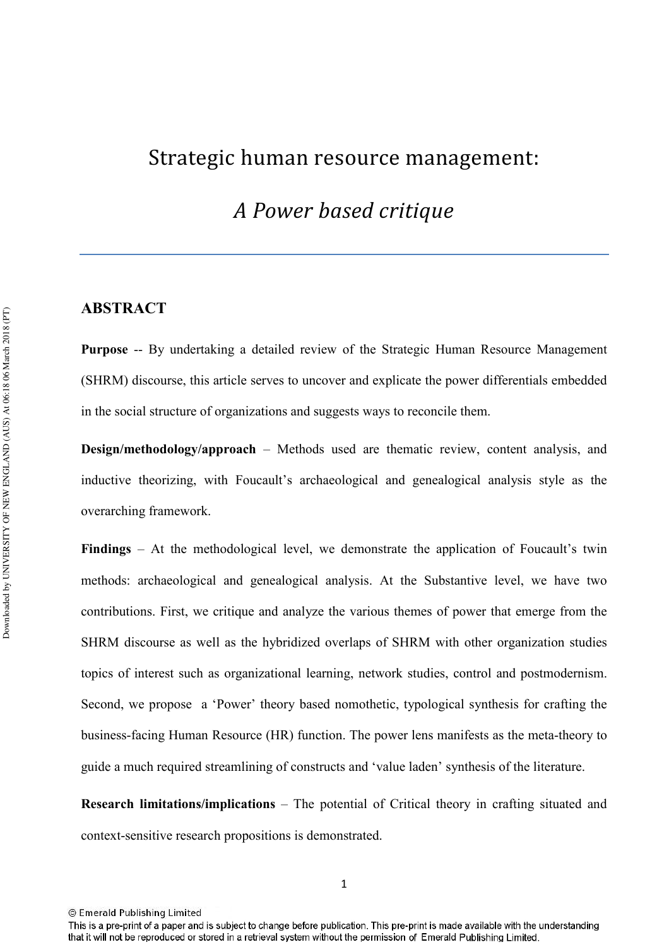# Strategic human resource management:

# *A Power based critique*

# **ABSTRACT**

**Purpose --** By undertaking a detailed review of the Strategic Human Resource Management (SHRM) discourse, this article serves to uncover and explicate the power differentials embedded in the social structure of organizations and suggests ways to reconcile them.

**Design/methodology/approach** – Methods used are thematic review, content analysis, and inductive theorizing, with Foucault's archaeological and genealogical analysis style as the overarching framework.

**Findings** – At the methodological level, we demonstrate the application of Foucault's twin methods: archaeological and genealogical analysis. At the Substantive level, we have two contributions. First, we critique and analyze the various themes of power that emerge from the SHRM discourse as well as the hybridized overlaps of SHRM with other organization studies topics of interest such as organizational learning, network studies, control and postmodernism. Second, we propose a 'Power' theory based nomothetic, typological synthesis for crafting the business-facing Human Resource (HR) function. The power lens manifests as the meta-theory to guide a much required streamlining of constructs and 'value laden' synthesis of the literature.

**Research limitations/implications – The potential of Critical theory in crafting situated and** context-sensitive research propositions is demonstrated.

This is a pre-print of a paper and is subject to change before publication. This pre-print is made available with the understanding that it will not be reproduced or stored in a retrieval system without the permission of Emerald Publishing Limited.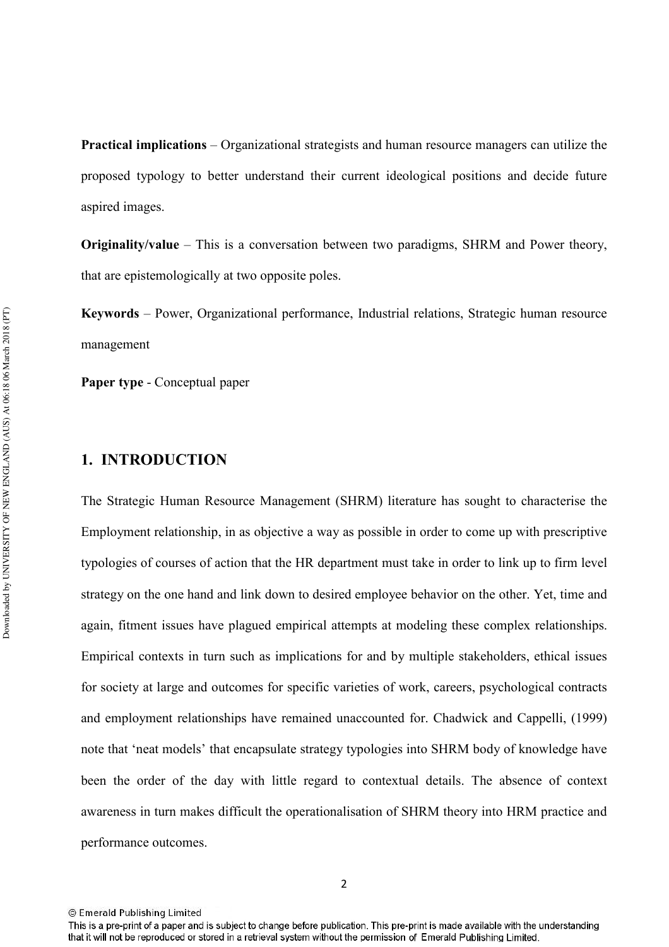**Practical implications** – Organizational strategists and human resource managers can utilize the proposed typology to better understand their current ideological positions and decide future aspired images.

**Originality/value** – This is a conversation between two paradigms, SHRM and Power theory, that are epistemologically at two opposite poles.

Keywords - Power, Organizational performance, Industrial relations, Strategic human resource management

**Paper type - Conceptual paper** 

# **1. INTRODUCTION**

The Strategic Human Resource Management (SHRM) literature has sought to characterise the Employment relationship, in as objective a way as possible in order to come up with prescriptive typologies of courses of action that the HR department must take in order to link up to firm level strategy on the one hand and link down to desired employee behavior on the other. Yet, time and again, fitment issues have plagued empirical attempts at modeling these complex relationships. Empirical contexts in turn such as implications for and by multiple stakeholders, ethical issues for society at large and outcomes for specific varieties of work, careers, psychological contracts and employment relationships have remained unaccounted for. Chadwick and Cappelli, (1999) note that 'neat models' that encapsulate strategy typologies into SHRM body of knowledge have been the order of the day with little regard to contextual details. The absence of context awareness in turn makes difficult the operationalisation of SHRM theory into HRM practice and performance outcomes.

<sup>2</sup> 

<sup>©</sup> Emerald Publishing Limited

This is a pre-print of a paper and is subject to change before publication. This pre-print is made available with the understanding that it will not be reproduced or stored in a retrieval system without the permission of Emerald Publishing Limited.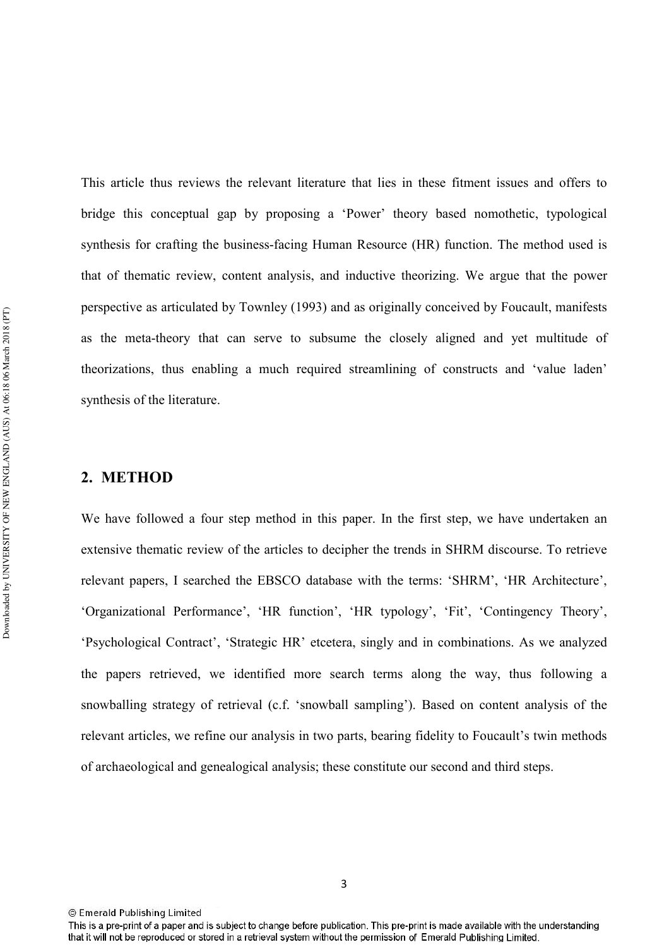This article thus reviews the relevant literature that lies in these fitment issues and offers to bridge this conceptual gap by proposing a 'Power' theory based nomothetic, typological synthesis for crafting the business-facing Human Resource (HR) function. The method used is that of thematic review, content analysis, and inductive theorizing. We argue that the power perspective as articulated by Townley (1993) and as originally conceived by Foucault, manifests as the meta-theory that can serve to subsume the closely aligned and yet multitude of theorizations, thus enabling a much required streamlining of constructs and 'value laden' synthesis of the literature.

## 2. METHOD

We have followed a four step method in this paper. In the first step, we have undertaken an extensive thematic review of the articles to decipher the trends in SHRM discourse. To retrieve relevant papers, I searched the EBSCO database with the terms: 'SHRM', 'HR Architecture', 'Organizational Performance', 'HR function', 'HR typology', 'Fit', 'Contingency Theory', 'Psychological Contract', 'Strategic HR' etcetera, singly and in combinations. As we analyzed the papers retrieved, we identified more search terms along the way, thus following a snowballing strategy of retrieval (c.f. 'snowball sampling'). Based on content analysis of the relevant articles, we refine our analysis in two parts, bearing fidelity to Foucault's twin methods of archaeological and genealogical analysis; these constitute our second and third steps.

<sup>©</sup> Emerald Publishing Limited

This is a pre-print of a paper and is subject to change before publication. This pre-print is made available with the understanding that it will not be reproduced or stored in a retrieval system without the permission of Emerald Publishing Limited.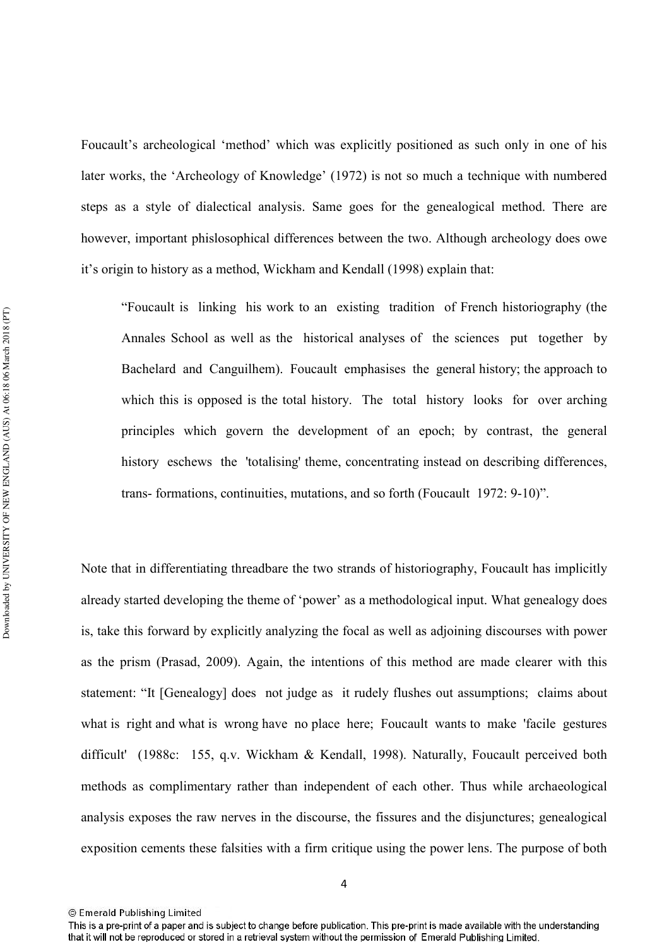Foucault's archeological 'method' which was explicitly positioned as such only in one of his later works, the 'Archeology of Knowledge' (1972) is not so much a technique with numbered steps as a style of dialectical analysis. Same goes for the genealogical method. There are however, important phislosophical differences between the two. Although archeology does owe it's origin to history as a method, Wickham and Kendall (1998) explain that:

"Foucault is linking his work to an existing tradition of French historiography (the Annales School as well as the historical analyses of the sciences put together by Bachelard and Canguilhem). Foucault emphasises the general history; the approach to which this is opposed is the total history. The total history looks for over arching principles which govern the development of an epoch; by contrast, the general history eschews the 'totalising' theme, concentrating instead on describing differences, trans- formations, continuities, mutations, and so forth (Foucault 1972:  $9-10$ )".

Note that in differentiating threadbare the two strands of historiography, Foucault has implicitly already started developing the theme of 'power' as a methodological input. What genealogy does is, take this forward by explicitly analyzing the focal as well as adjoining discourses with power as the prism (Prasad, 2009). Again, the intentions of this method are made clearer with this statement: "It [Genealogy] does not judge as it rudely flushes out assumptions; claims about what is right and what is wrong have no place here; Foucault wants to make 'facile gestures difficult' (1988c: 155, q.v. Wickham & Kendall, 1998). Naturally, Foucault perceived both methods as complimentary rather than independent of each other. Thus while archaeological analysis exposes the raw nerves in the discourse, the fissures and the disjunctures; genealogical exposition cements these falsities with a firm critique using the power lens. The purpose of both

<sup>4</sup> 

<sup>©</sup> Emerald Publishing Limited

This is a pre-print of a paper and is subject to change before publication. This pre-print is made available with the understanding that it will not be reproduced or stored in a retrieval system without the permission of Emerald Publishing Limited.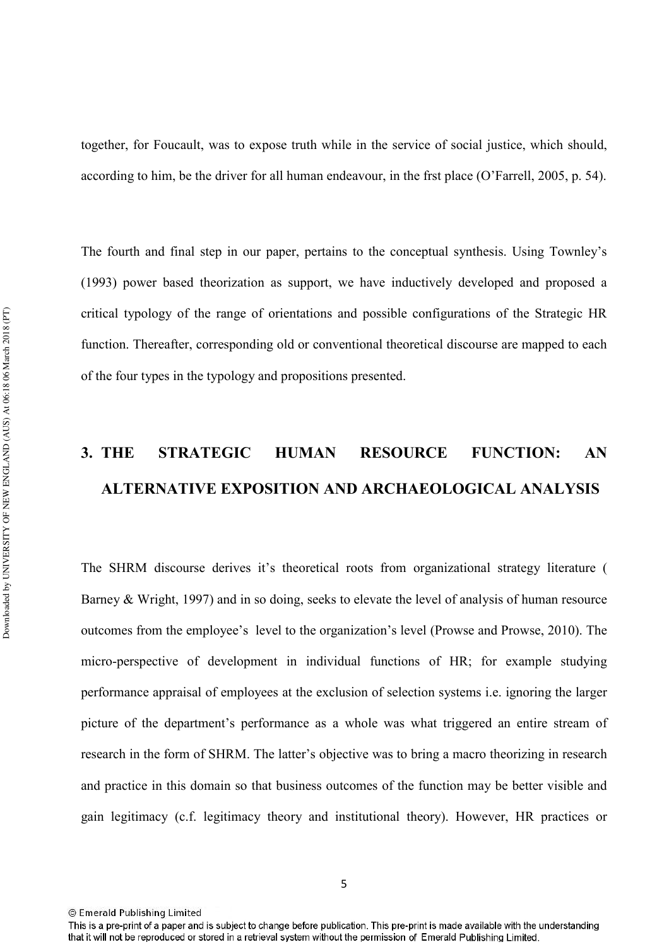together, for Foucault, was to expose truth while in the service of social justice, which should, according to him, be the driver for all human endeavour, in the frst place (O'Farrell, 2005, p. 54).

The fourth and final step in our paper, pertains to the conceptual synthesis. Using Townley's (1993) power based theorization as support, we have inductively developed and proposed a critical typology of the range of orientations and possible configurations of the Strategic HR function. Thereafter, corresponding old or conventional theoretical discourse are mapped to each of the four types in the typology and propositions presented.

# 3. THE STRATEGIC HUMAN RESOURCE FUNCTION: AN **ALTERNATIVE EXPOSITION AND ARCHAEOLOGICAL ANALYSIS**

The SHRM discourse derives it's theoretical roots from organizational strategy literature ( Barney & Wright, 1997) and in so doing, seeks to elevate the level of analysis of human resource outcomes from the employee's level to the organization's level (Prowse and Prowse, 2010). The micro-perspective of development in individual functions of HR; for example studying performance appraisal of employees at the exclusion of selection systems i.e. ignoring the larger picture of the department's performance as a whole was what triggered an entire stream of research in the form of SHRM. The latter's objective was to bring a macro theorizing in research and practice in this domain so that business outcomes of the function may be better visible and gain legitimacy (c.f. legitimacy theory and institutional theory). However, HR practices or

<sup>©</sup> Emerald Publishing Limited

This is a pre-print of a paper and is subject to change before publication. This pre-print is made available with the understanding that it will not be reproduced or stored in a retrieval system without the permission of Emerald Publishing Limited.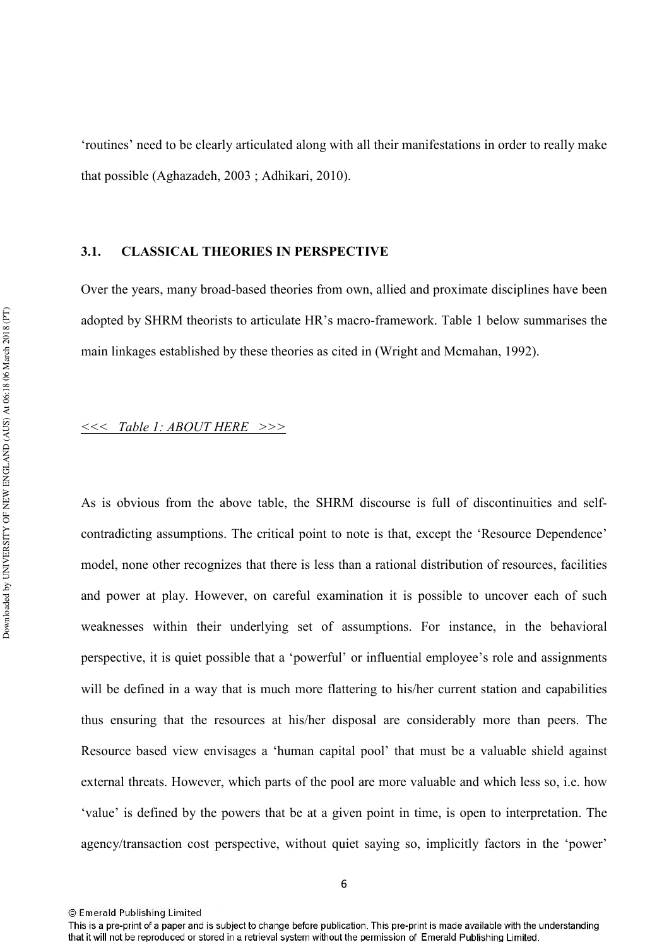'routines' need to be clearly articulated along with all their manifestations in order to really make that possible (Aghazadeh, 2003 ; Adhikari, 2010).

#### 3.1. CLASSICAL THEORIES IN PERSPECTIVE

Over the years, many broad-based theories from own, allied and proximate disciplines have been adopted by SHRM theorists to articulate HR's macro-framework. Table 1 below summarises the main linkages established by these theories as cited in (Wright and Mcmahan, 1992).

### *---- - 
-----*

As is obvious from the above table, the SHRM discourse is full of discontinuities and self contradicting assumptions. The critical point to note is that, except the 'Resource Dependence' model, none other recognizes that there is less than a rational distribution of resources, facilities and power at play. However, on careful examination it is possible to uncover each of such weaknesses within their underlying set of assumptions. For instance, in the behavioral perspective, it is quiet possible that a 'powerful' or influential employee's role and assignments will be defined in a way that is much more flattering to his/her current station and capabilities thus ensuring that the resources at his/her disposal are considerably more than peers. The Resource based view envisages a 'human capital pool' that must be a valuable shield against external threats. However, which parts of the pool are more valuable and which less so, i.e. how 'value' is defined by the powers that be at a given point in time, is open to interpretation. The agency/transaction cost perspective, without quiet saying so, implicitly factors in the 'power'

<sup>©</sup> Emerald Publishing Limited

This is a pre-print of a paper and is subject to change before publication. This pre-print is made available with the understanding that it will not be reproduced or stored in a retrieval system without the permission of Emerald Publishing Limited.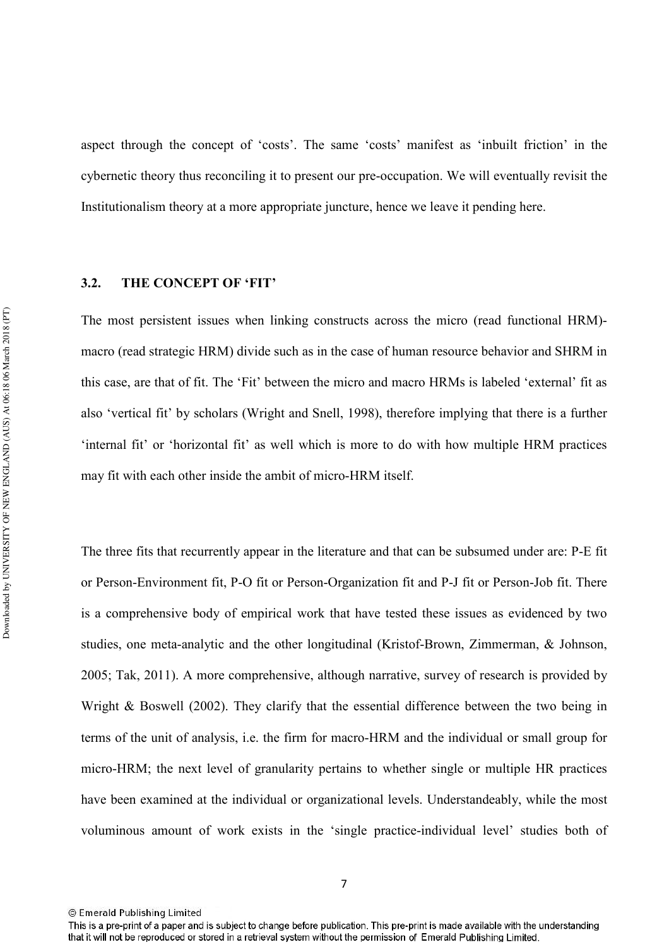aspect through the concept of 'costs'. The same 'costs' manifest as 'inbuilt friction' in the cybernetic theory thus reconciling it to present our pre-occupation. We will eventually revisit the Institutionalism theory at a more appropriate juncture, hence we leave it pending here.

## **3.2.** THE CONCEPT OF 'FIT'

The most persistent issues when linking constructs across the micro (read functional HRM) macro (read strategic HRM) divide such as in the case of human resource behavior and SHRM in this case, are that of fit. The 'Fit' between the micro and macro HRMs is labeled 'external' fit as also 'vertical fit' by scholars (Wright and Snell, 1998), therefore implying that there is a further 'internal fit' or 'horizontal fit' as well which is more to do with how multiple HRM practices may fit with each other inside the ambit of micro-HRM itself.

The three fits that recurrently appear in the literature and that can be subsumed under are: P-E fit or Person-Environment fit, P-O fit or Person-Organization fit and P-J fit or Person-Job fit. There is a comprehensive body of empirical work that have tested these issues as evidenced by two studies, one meta-analytic and the other longitudinal (Kristof-Brown, Zimmerman, & Johnson, 2005; Tak, 2011). A more comprehensive, although narrative, survey of research is provided by Wright & Boswell (2002). They clarify that the essential difference between the two being in terms of the unit of analysis, i.e. the firm for macroHRM and the individual or small group for micro-HRM; the next level of granularity pertains to whether single or multiple HR practices have been examined at the individual or organizational levels. Understandeably, while the most voluminous amount of work exists in the 'single practice-individual level' studies both of

<sup>©</sup> Emerald Publishing Limited

This is a pre-print of a paper and is subject to change before publication. This pre-print is made available with the understanding that it will not be reproduced or stored in a retrieval system without the permission of Emerald Publishing Limited.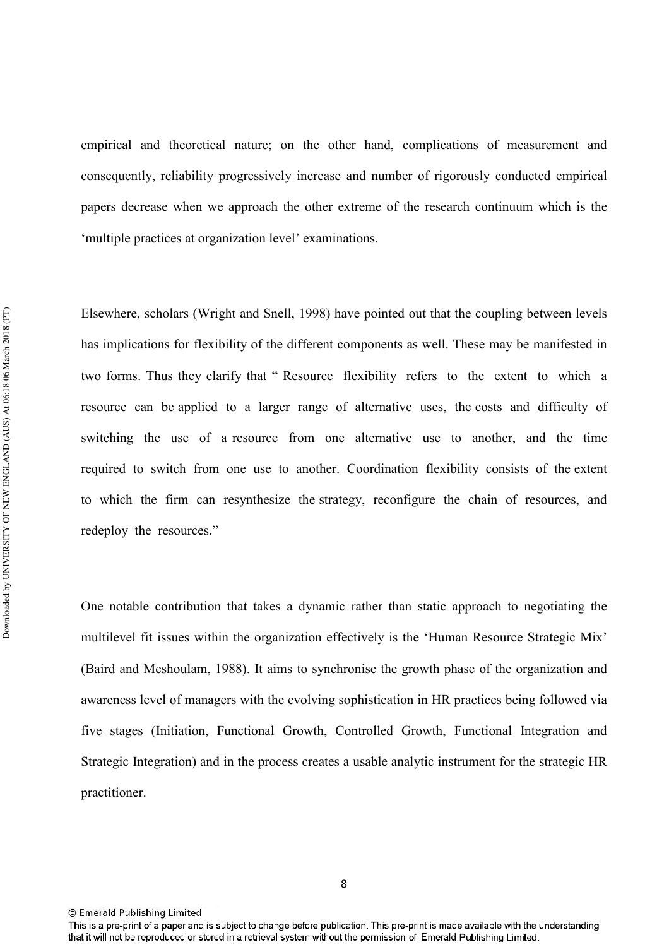empirical and theoretical nature; on the other hand, complications of measurement and consequently, reliability progressively increase and number of rigorously conducted empirical papers decrease when we approach the other extreme of the research continuum which is the 'multiple practices at organization level' examinations.

Elsewhere, scholars (Wright and Snell, 1998) have pointed out that the coupling between levels has implications for flexibility of the different components as well. These may be manifested in two forms. Thus they clarify that " Resource flexibility refers to the extent to which a resource can be applied to a larger range of alternative uses, the costs and difficulty of switching the use of a resource from one alternative use to another, and the time required to switch from one use to another. Coordination flexibility consists of the extent to which the firm can resynthesize the strategy, reconfigure the chain of resources, and redeploy the resources."

One notable contribution that takes a dynamic rather than static approach to negotiating the multilevel fit issues within the organization effectively is the 'Human Resource Strategic Mix' (Baird and Meshoulam, 1988). It aims to synchronise the growth phase of the organization and awareness level of managers with the evolving sophistication in HR practices being followed via five stages (Initiation, Functional Growth, Controlled Growth, Functional Integration and Strategic Integration) and in the process creates a usable analytic instrument for the strategic HR practitioner.

This is a pre-print of a paper and is subject to change before publication. This pre-print is made available with the understanding that it will not be reproduced or stored in a retrieval system without the permission of Emerald Publishing Limited.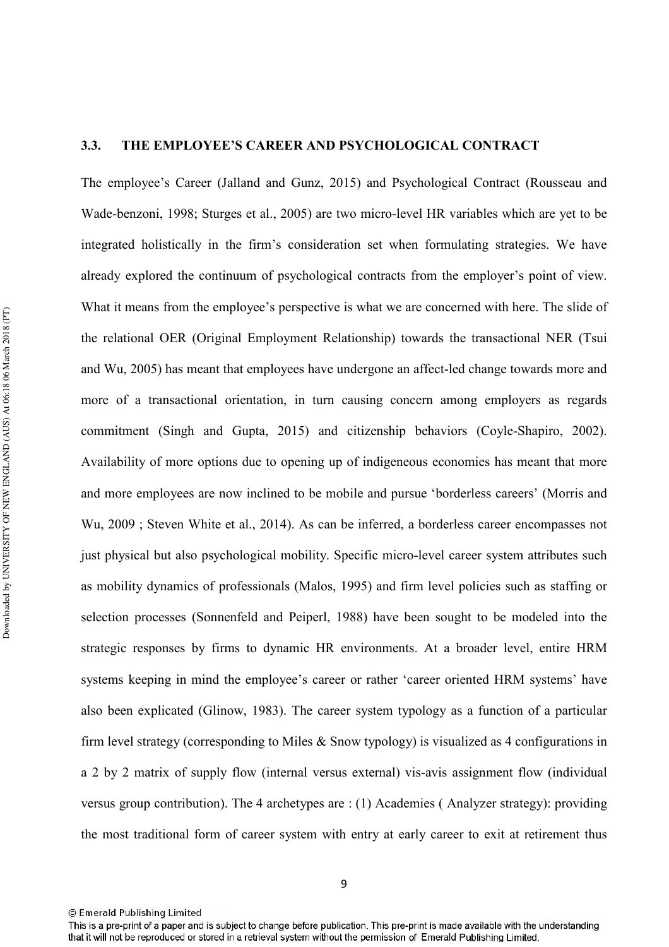## **3.3. THE EMPLOYEE'S CAREER AND PSYCHOLOGICAL CONTRACT**

The employee's Career (Jalland and Gunz, 2015) and Psychological Contract (Rousseau and Wade-benzoni, 1998; Sturges et al., 2005) are two micro-level HR variables which are yet to be integrated holistically in the firm's consideration set when formulating strategies. We have already explored the continuum of psychological contracts from the employer's point of view. What it means from the employee's perspective is what we are concerned with here. The slide of the relational OER (Original Employment Relationship) towards the transactional NER (Tsui and Wu, 2005) has meant that employees have undergone an affect-led change towards more and more of a transactional orientation, in turn causing concern among employers as regards commitment (Singh and Gupta, 2015) and citizenship behaviors (Coyle-Shapiro, 2002). Availability of more options due to opening up of indigeneous economies has meant that more and more employees are now inclined to be mobile and pursue 'borderless careers' (Morris and Wu, 2009 ; Steven White et al., 2014). As can be inferred, a borderless career encompasses not just physical but also psychological mobility. Specific micro-level career system attributes such as mobility dynamics of professionals (Malos, 1995) and firm level policies such as staffing or selection processes (Sonnenfeld and Peiperl, 1988) have been sought to be modeled into the strategic responses by firms to dynamic HR environments. At a broader level, entire HRM systems keeping in mind the employee's career or rather 'career oriented HRM systems' have also been explicated (Glinow, 1983). The career system typology as a function of a particular firm level strategy (corresponding to Miles  $\&$  Snow typology) is visualized as 4 configurations in a 2 by 2 matrix of supply flow (internal versus external) vis-avis assignment flow (individual versus group contribution). The 4 archetypes are : (1) Academies ( Analyzer strategy): providing the most traditional form of career system with entry at early career to exit at retirement thus

<sup>©</sup> Emerald Publishing Limited

This is a pre-print of a paper and is subject to change before publication. This pre-print is made available with the understanding that it will not be reproduced or stored in a retrieval system without the permission of Emerald Publishing Limited.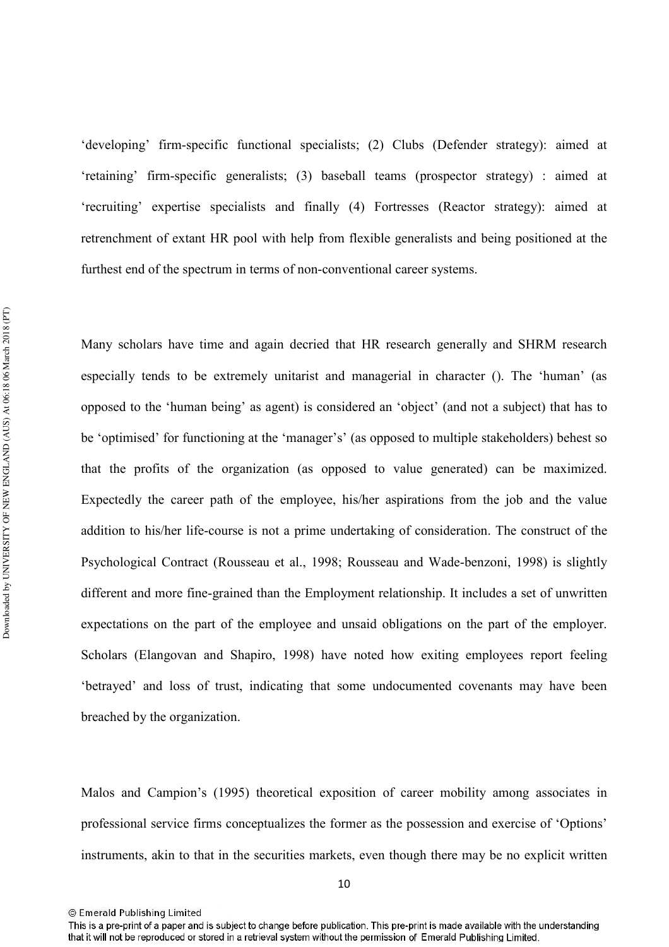'developing' firm-specific functional specialists; (2) Clubs (Defender strategy): aimed at 'retaining' firmspecific generalists; (3) baseball teams (prospector strategy) : aimed at 'recruiting' expertise specialists and finally (4) Fortresses (Reactor strategy): aimed at retrenchment of extant HR pool with help from flexible generalists and being positioned at the furthest end of the spectrum in terms of non-conventional career systems.

Many scholars have time and again decried that HR research generally and SHRM research especially tends to be extremely unitarist and managerial in character (). The 'human' (as opposed to the 'human being' as agent) is considered an 'object' (and not a subject) that has to be 'optimised' for functioning at the 'manager's' (as opposed to multiple stakeholders) behest so that the profits of the organization (as opposed to value generated) can be maximized. Expectedly the career path of the employee, his/her aspirations from the job and the value addition to his/her life-course is not a prime undertaking of consideration. The construct of the Psychological Contract (Rousseau et al., 1998; Rousseau and Wade-benzoni, 1998) is slightly different and more fine-grained than the Employment relationship. It includes a set of unwritten expectations on the part of the employee and unsaid obligations on the part of the employer. Scholars (Elangovan and Shapiro, 1998) have noted how exiting employees report feeling 'betrayed' and loss of trust, indicating that some undocumented covenants may have been breached by the organization.

Malos and Campion's (1995) theoretical exposition of career mobility among associates in professional service firms conceptualizes the former as the possession and exercise of 'Options' instruments, akin to that in the securities markets, even though there may be no explicit written

<sup>©</sup> Emerald Publishing Limited

This is a pre-print of a paper and is subject to change before publication. This pre-print is made available with the understanding that it will not be reproduced or stored in a retrieval system without the permission of Emerald Publishing Limited.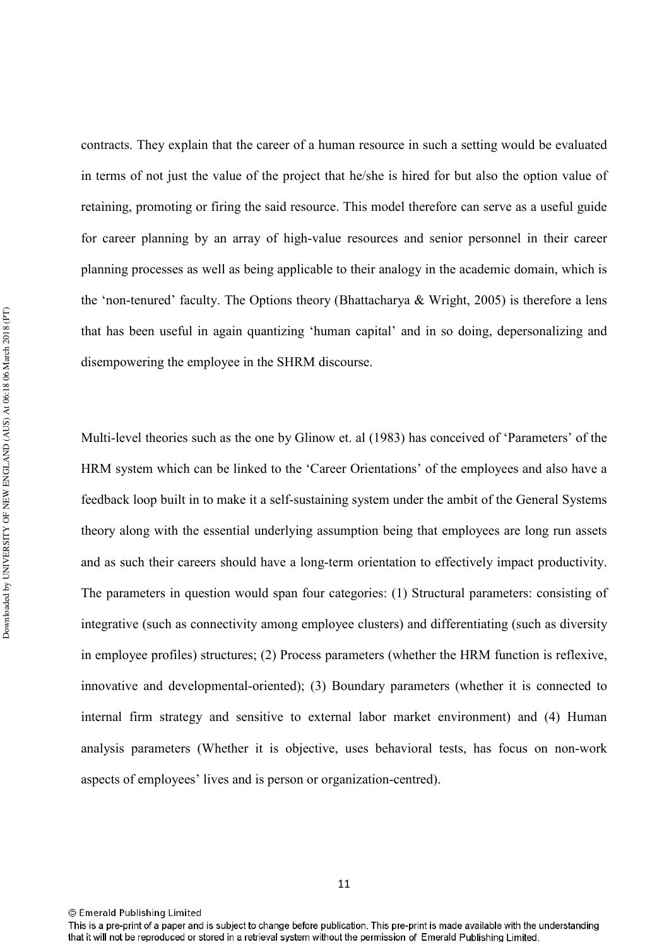contracts. They explain that the career of a human resource in such a setting would be evaluated in terms of not just the value of the project that he/she is hired for but also the option value of retaining, promoting or firing the said resource. This model therefore can serve as a useful guide for career planning by an array of high-value resources and senior personnel in their career planning processes as well as being applicable to their analogy in the academic domain, which is the 'non-tenured' faculty. The Options theory (Bhattacharya & Wright, 2005) is therefore a lens that has been useful in again quantizing 'human capital' and in so doing, depersonalizing and disempowering the employee in the SHRM discourse.

Multi-level theories such as the one by Glinow et. al (1983) has conceived of 'Parameters' of the HRM system which can be linked to the 'Career Orientations' of the employees and also have a feedback loop built in to make it a self-sustaining system under the ambit of the General Systems theory along with the essential underlying assumption being that employees are long run assets and as such their careers should have a long-term orientation to effectively impact productivity. The parameters in question would span four categories: (1) Structural parameters: consisting of integrative (such as connectivity among employee clusters) and differentiating (such as diversity in employee profiles) structures; (2) Process parameters (whether the HRM function is reflexive, innovative and developmental-oriented); (3) Boundary parameters (whether it is connected to internal firm strategy and sensitive to external labor market environment) and (4) Human analysis parameters (Whether it is objective, uses behavioral tests, has focus on non-work aspects of employees' lives and is person or organization-centred).

This is a pre-print of a paper and is subject to change before publication. This pre-print is made available with the understanding that it will not be reproduced or stored in a retrieval system without the permission of Emerald Publishing Limited.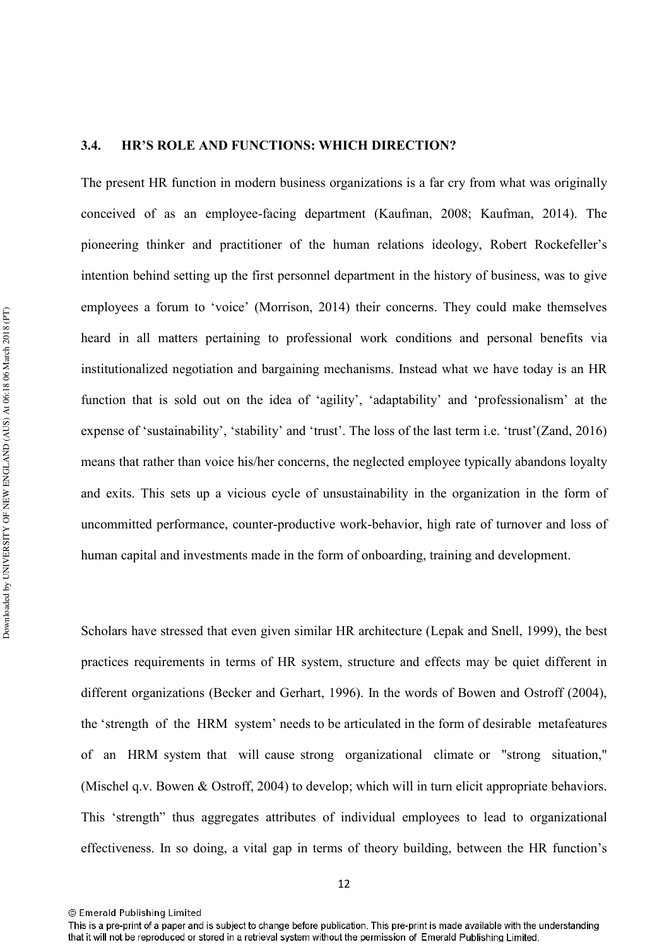## 3.4. **HR'S ROLE AND FUNCTIONS: WHICH DIRECTION?**

The present HR function in modern business organizations is a far cry from what was originally conceived of as an employeefacing department (Kaufman, 2008; Kaufman, 2014). The pioneering thinker and practitioner of the human relations ideology, Robert Rockefeller's intention behind setting up the first personnel department in the history of business, was to give employees a forum to 'voice' (Morrison, 2014) their concerns. They could make themselves heard in all matters pertaining to professional work conditions and personal benefits via institutionalized negotiation and bargaining mechanisms. Instead what we have today is an HR function that is sold out on the idea of 'agility', 'adaptability' and 'professionalism' at the expense of 'sustainability', 'stability' and 'trust'. The loss of the last term i.e. 'trust'(Zand, 2016) means that rather than voice his/her concerns, the neglected employee typically abandons loyalty and exits. This sets up a vicious cycle of unsustainability in the organization in the form of uncommitted performance, counter-productive work-behavior, high rate of turnover and loss of human capital and investments made in the form of onboarding, training and development.

Scholars have stressed that even given similar HR architecture (Lepak and Snell, 1999), the best practices requirements in terms of HR system, structure and effects may be quiet different in different organizations (Becker and Gerhart, 1996). In the words of Bowen and Ostroff (2004), the 'strength of the HRM system' needs to be articulated in the form of desirable metafeatures of an HRM system that will cause strong organizational climate or "strong situation," (Mischel q.v. Bowen & Ostroff, 2004) to develop; which will in turn elicit appropriate behaviors. This 'strength" thus aggregates attributes of individual employees to lead to organizational effectiveness. In so doing, a vital gap in terms of theory building, between the HR function's

<sup>©</sup> Emerald Publishing Limited

This is a pre-print of a paper and is subject to change before publication. This pre-print is made available with the understanding that it will not be reproduced or stored in a retrieval system without the permission of Emerald Publishing Limited.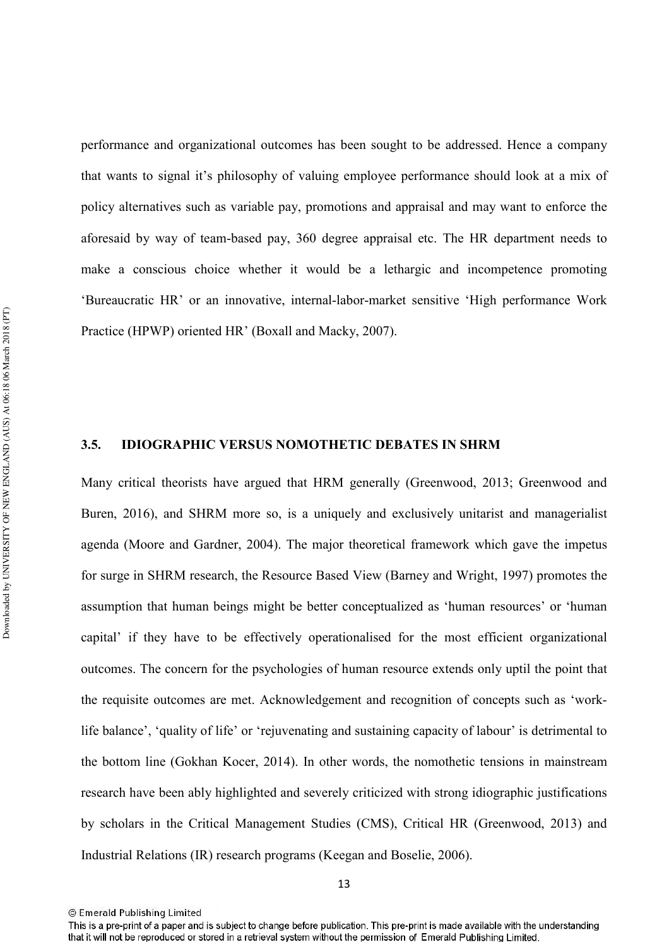performance and organizational outcomes has been sought to be addressed. Hence a company that wants to signal it's philosophy of valuing employee performance should look at a mix of policy alternatives such as variable pay, promotions and appraisal and may want to enforce the aforesaid by way of teambased pay, 360 degree appraisal etc. The HR department needs to make a conscious choice whether it would be a lethargic and incompetence promoting 'Bureaucratic HR' or an innovative, internal-labor-market sensitive 'High performance Work Practice (HPWP) oriented HR' (Boxall and Macky, 2007).

#### **3.5. IDIOGRAPHIC VERSUS NOMOTHETIC DEBATES IN SHRM**

Many critical theorists have argued that HRM generally (Greenwood, 2013; Greenwood and Buren, 2016), and SHRM more so, is a uniquely and exclusively unitarist and managerialist agenda (Moore and Gardner, 2004). The major theoretical framework which gave the impetus for surge in SHRM research, the Resource Based View (Barney and Wright, 1997) promotes the assumption that human beings might be better conceptualized as 'human resources' or 'human capital' if they have to be effectively operationalised for the most efficient organizational outcomes. The concern for the psychologies of human resource extends only uptil the point that the requisite outcomes are met. Acknowledgement and recognition of concepts such as 'work life balance', 'quality of life' or 'rejuvenating and sustaining capacity of labour' is detrimental to the bottom line (Gokhan Kocer, 2014). In other words, the nomothetic tensions in mainstream research have been ably highlighted and severely criticized with strong idiographic justifications by scholars in the Critical Management Studies (CMS), Critical HR (Greenwood, 2013) and Industrial Relations (IR) research programs (Keegan and Boselie, 2006).

<sup>13</sup> 

<sup>©</sup> Emerald Publishing Limited

This is a pre-print of a paper and is subject to change before publication. This pre-print is made available with the understanding that it will not be reproduced or stored in a retrieval system without the permission of Emerald Publishing Limited.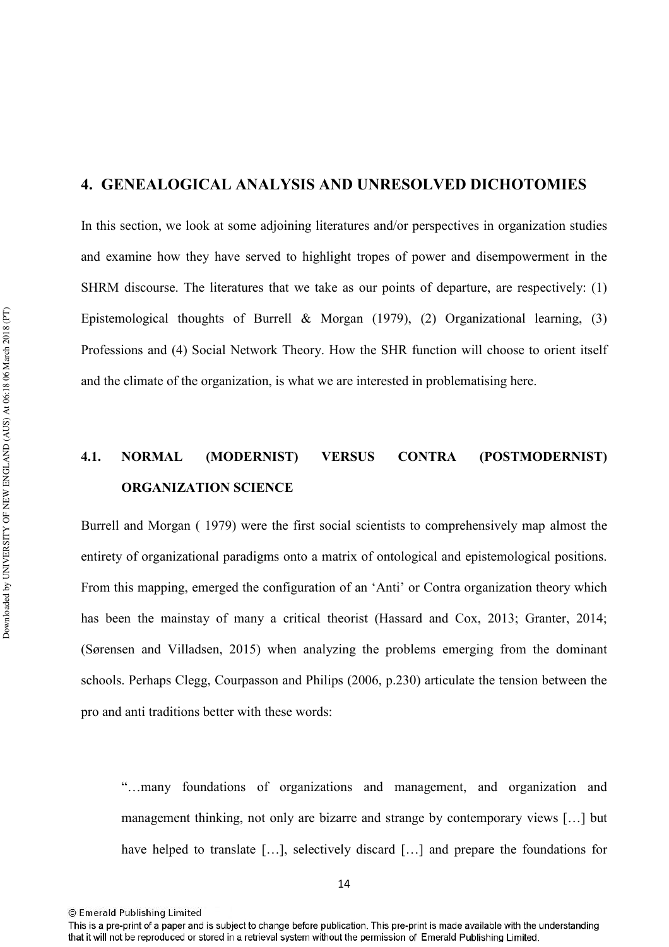# **4. GENEALOGICAL ANALYSIS AND UNRESOLVED DICHOTOMIES**

In this section, we look at some adjoining literatures and/or perspectives in organization studies and examine how they have served to highlight tropes of power and disempowerment in the SHRM discourse. The literatures that we take as our points of departure, are respectively: (1) Epistemological thoughts of Burrell & Morgan (1979), (2) Organizational learning, (3) Professions and (4) Social Network Theory. How the SHR function will choose to orient itself and the climate of the organization, is what we are interested in problematising here.

# **4.1. NORMAL (MODERNIST) VERSUS CONTRA (POSTMODERNIST) ORGANIZATION SCIENCE**

Burrell and Morgan ( 1979) were the first social scientists to comprehensively map almost the entirety of organizational paradigms onto a matrix of ontological and epistemological positions. From this mapping, emerged the configuration of an 'Anti' or Contra organization theory which has been the mainstay of many a critical theorist (Hassard and Cox, 2013; Granter, 2014; (Sørensen and Villadsen, 2015) when analyzing the problems emerging from the dominant schools. Perhaps Clegg, Courpasson and Philips (2006, p.230) articulate the tension between the pro and anti traditions better with these words:

"…many foundations of organizations and management, and organization and management thinking, not only are bizarre and strange by contemporary views […] but have helped to translate [...], selectively discard [...] and prepare the foundations for

<sup>©</sup> Emerald Publishing Limited

This is a pre-print of a paper and is subject to change before publication. This pre-print is made available with the understanding that it will not be reproduced or stored in a retrieval system without the permission of Emerald Publishing Limited.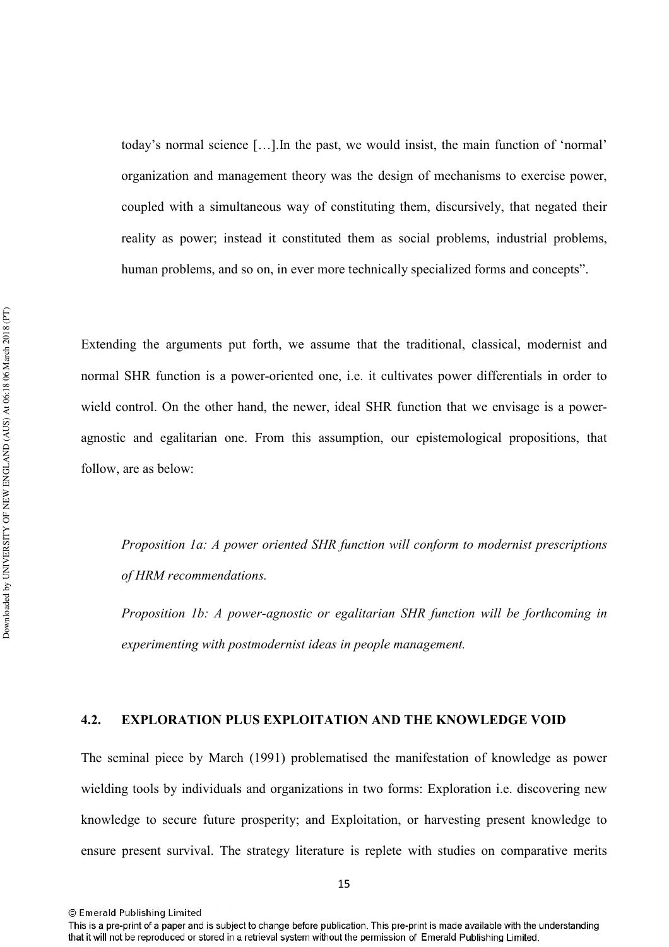today's normal science […].In the past, we would insist, the main function of 'normal' organization and management theory was the design of mechanisms to exercise power, coupled with a simultaneous way of constituting them, discursively, that negated their reality as power; instead it constituted them as social problems, industrial problems, human problems, and so on, in ever more technically specialized forms and concepts".

Extending the arguments put forth, we assume that the traditional, classical, modernist and normal SHR function is a power-oriented one, i.e. it cultivates power differentials in order to wield control. On the other hand, the newer, ideal SHR function that we envisage is a power agnostic and egalitarian one. From this assumption, our epistemological propositions, that follow, are as below:

Proposition 1a: A power oriented SHR function will conform to modernist prescriptions of HRM recommendations.

*Proposition 1b: A power-agnostic or egalitarian SHR function will be forthcoming in* experimenting with postmodernist ideas in people management.

### **4.2. EXPLORATION PLUS EXPLOITATION AND THE KNOWLEDGE VOID**

The seminal piece by March (1991) problematised the manifestation of knowledge as power wielding tools by individuals and organizations in two forms: Exploration i.e. discovering new knowledge to secure future prosperity; and Exploitation, or harvesting present knowledge to ensure present survival. The strategy literature is replete with studies on comparative merits

This is a pre-print of a paper and is subject to change before publication. This pre-print is made available with the understanding that it will not be reproduced or stored in a retrieval system without the permission of Emerald Publishing Limited.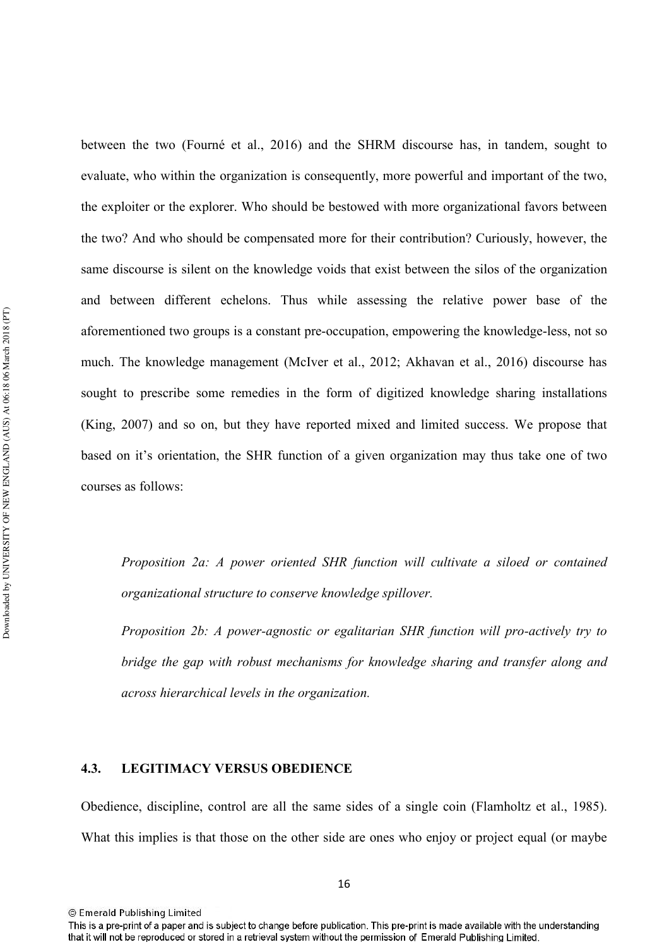between the two (Fourné et al., 2016) and the SHRM discourse has, in tandem, sought to evaluate, who within the organization is consequently, more powerful and important of the two, the exploiter or the explorer. Who should be bestowed with more organizational favors between the two? And who should be compensated more for their contribution? Curiously, however, the same discourse is silent on the knowledge voids that exist between the silos of the organization and between different echelons. Thus while assessing the relative power base of the aforementioned two groups is a constant pre-occupation, empowering the knowledge-less, not so much. The knowledge management (McIver et al., 2012; Akhavan et al., 2016) discourse has sought to prescribe some remedies in the form of digitized knowledge sharing installations (King, 2007) and so on, but they have reported mixed and limited success. We propose that based on it's orientation, the SHR function of a given organization may thus take one of two courses as follows:

Proposition 2a: A power oriented SHR function will cultivate a siloed or contained *crganizational structure to conserve knowledge spillover.* 

*Proposition 2b: A power-agnostic or egalitarian SHR function will pro-actively try to bridge the gap with robust mechanisms for knowledge sharing and transfer along and* across hierarchical levels in the organization.

#### **4.3.** LEGITIMACY VERSUS OBEDIENCE

Obedience, discipline, control are all the same sides of a single coin (Flamholtz et al., 1985). What this implies is that those on the other side are ones who enjoy or project equal (or maybe

16

<sup>©</sup> Emerald Publishing Limited

This is a pre-print of a paper and is subject to change before publication. This pre-print is made available with the understanding that it will not be reproduced or stored in a retrieval system without the permission of Emerald Publishing Limited.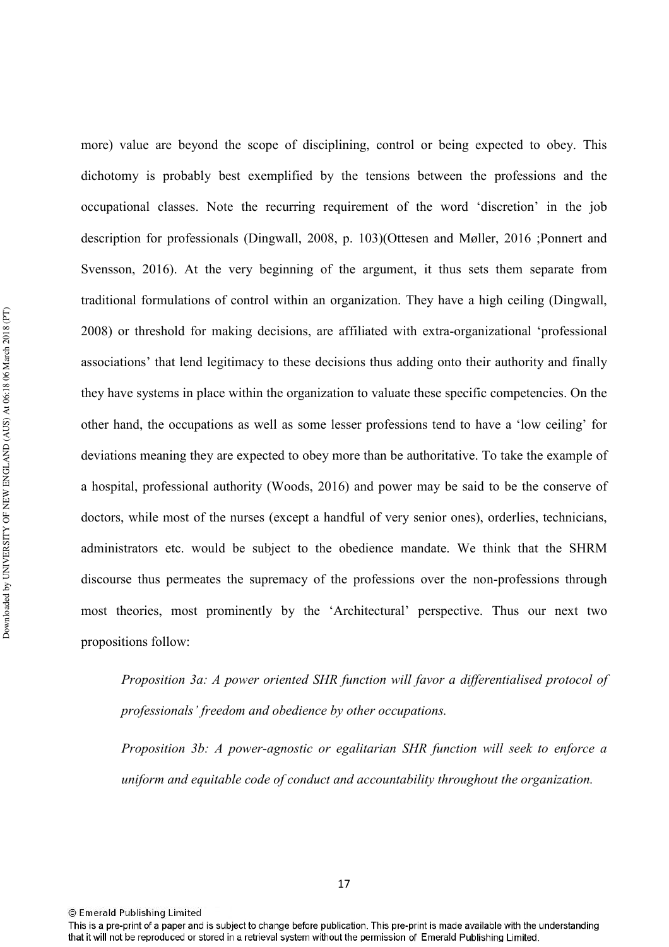more) value are beyond the scope of disciplining, control or being expected to obey. This dichotomy is probably best exemplified by the tensions between the professions and the occupational classes. Note the recurring requirement of the word 'discretion' in the job description for professionals (Dingwall, 2008, p. 103)(Ottesen and Møller, 2016 ;Ponnert and Svensson, 2016). At the very beginning of the argument, it thus sets them separate from traditional formulations of control within an organization. They have a high ceiling (Dingwall, 2008) or threshold for making decisions, are affiliated with extra-organizational 'professional associations' that lend legitimacy to these decisions thus adding onto their authority and finally they have systems in place within the organization to valuate these specific competencies. On the other hand, the occupations as well as some lesser professions tend to have a 'low ceiling' for deviations meaning they are expected to obey more than be authoritative. To take the example of a hospital, professional authority (Woods, 2016) and power may be said to be the conserve of doctors, while most of the nurses (except a handful of very senior ones), orderlies, technicians, administrators etc. would be subject to the obedience mandate. We think that the SHRM discourse thus permeates the supremacy of the professions over the non-professions through most theories, most prominently by the 'Architectural' perspective. Thus our next two propositions follow:

Proposition 3a: A power oriented SHR function will favor a differentialised protocol of professionals' freedom and obedience by other occupations.

*Proposition 3b: A power-agnostic or egalitarian SHR function will seek to enforce a uniform and equitable code of conduct and accountability throughout the organization.* 

This is a pre-print of a paper and is subject to change before publication. This pre-print is made available with the understanding that it will not be reproduced or stored in a retrieval system without the permission of Emerald Publishing Limited.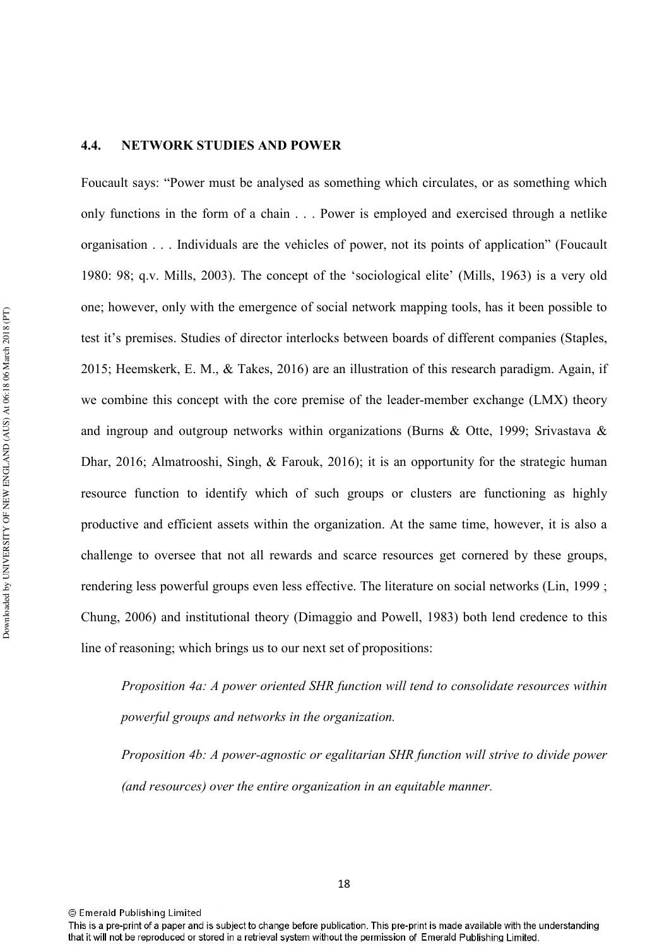## **4.4. NETWORK STUDIES AND POWER**

Foucault says: "Power must be analysed as something which circulates, or as something which only functions in the form of a chain . . . Power is employed and exercised through a netlike organisation . . . Individuals are the vehicles of power, not its points of application" (Foucault 1980: 98; q.v. Mills, 2003). The concept of the 'sociological elite' (Mills, 1963) is a very old one; however, only with the emergence of social network mapping tools, has it been possible to test it's premises. Studies of director interlocks between boards of different companies (Staples, 2015; Heemskerk, E. M., & Takes, 2016) are an illustration of this research paradigm. Again, if we combine this concept with the core premise of the leader-member exchange (LMX) theory and ingroup and outgroup networks within organizations (Burns & Otte, 1999; Srivastava & Dhar, 2016; Almatrooshi, Singh, & Farouk, 2016); it is an opportunity for the strategic human resource function to identify which of such groups or clusters are functioning as highly productive and efficient assets within the organization. At the same time, however, it is also a challenge to oversee that not all rewards and scarce resources get cornered by these groups, rendering less powerful groups even less effective. The literature on social networks (Lin, 1999 ; Chung, 2006) and institutional theory (Dimaggio and Powell, 1983) both lend credence to this line of reasoning; which brings us to our next set of propositions:

*Proposition 4a: A power oriented SHR function will tend to consolidate resources within powerful groups and networks in the organization.* 

*Proposition 4b: A power-agnostic or egalitarian SHR function will strive to divide power* (and resources) over the entire organization in an equitable manner.

This is a pre-print of a paper and is subject to change before publication. This pre-print is made available with the understanding that it will not be reproduced or stored in a retrieval system without the permission of Emerald Publishing Limited.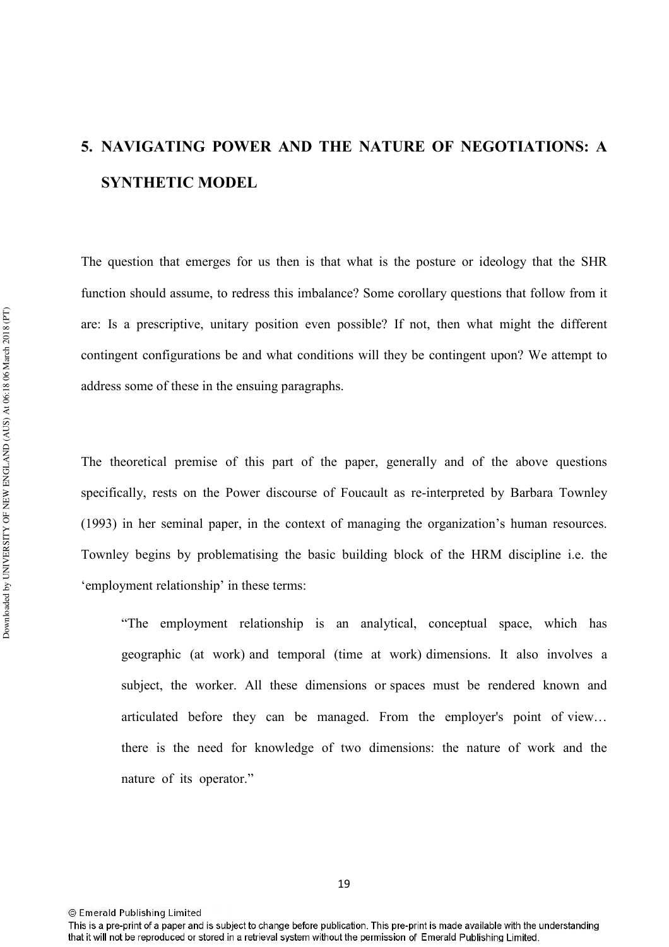# **5. NAVIGATING POWER AND THE NATURE OF NEGOTIATIONS: A SYNTHETIC MODEL**

The question that emerges for us then is that what is the posture or ideology that the SHR function should assume, to redress this imbalance? Some corollary questions that follow from it are: Is a prescriptive, unitary position even possible? If not, then what might the different contingent configurations be and what conditions will they be contingent upon? We attempt to address some of these in the ensuing paragraphs.

The theoretical premise of this part of the paper, generally and of the above questions specifically, rests on the Power discourse of Foucault as re-interpreted by Barbara Townley (1993) in her seminal paper, in the context of managing the organization's human resources. Townley begins by problematising the basic building block of the HRM discipline i.e. the 'employment relationship' in these terms:

"The employment relationship is an analytical, conceptual space, which has geographic (at work) and temporal (time at work) dimensions. It also involves a subject, the worker. All these dimensions or spaces must be rendered known and articulated before they can be managed. From the employer's point of view… there is the need for knowledge of two dimensions: the nature of work and the nature of its operator."

This is a pre-print of a paper and is subject to change before publication. This pre-print is made available with the understanding that it will not be reproduced or stored in a retrieval system without the permission of Emerald Publishing Limited.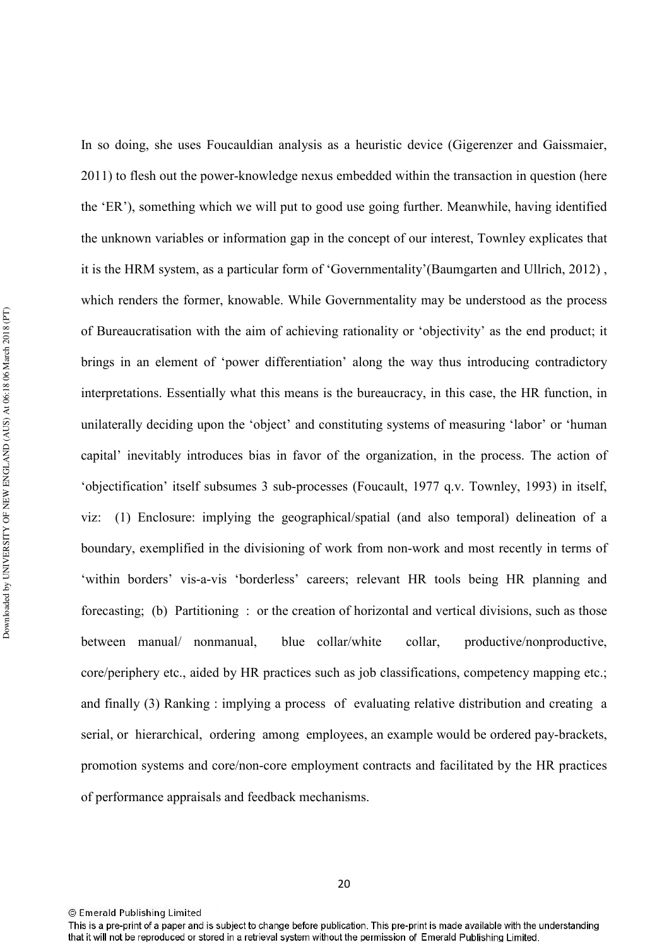Downloaded by UNIVERSITY OF NEW ENGLAND (AUS) At 06:18 06 March 2018 (PT) Downloaded by UNIVERSITY OF NEW ENGLAND (AUS) At 06:18 06 March 2018 (PT)

In so doing, she uses Foucauldian analysis as a heuristic device (Gigerenzer and Gaissmaier, 2011) to flesh out the power-knowledge nexus embedded within the transaction in question (here the 'ER'), something which we will put to good use going further. Meanwhile, having identified the unknown variables or information gap in the concept of our interest, Townley explicates that it is the HRM system, as a particular form of 'Governmentality'(Baumgarten and Ullrich, 2012) , which renders the former, knowable. While Governmentality may be understood as the process of Bureaucratisation with the aim of achieving rationality or 'objectivity' as the end product; it brings in an element of 'power differentiation' along the way thus introducing contradictory interpretations. Essentially what this means is the bureaucracy, in this case, the HR function, in unilaterally deciding upon the 'object' and constituting systems of measuring 'labor' or 'human capital' inevitably introduces bias in favor of the organization, in the process. The action of 'objectification' itself subsumes 3 sub-processes (Foucault, 1977 q.v. Townley, 1993) in itself, viz: (1) Enclosure: implying the geographical/spatial (and also temporal) delineation of a boundary, exemplified in the divisioning of work from nonwork and most recently in terms of 'within borders' vis-a-vis 'borderless' careers; relevant HR tools being HR planning and forecasting; (b) Partitioning : or the creation of horizontal and vertical divisions, such as those between manual/ nonmanual, blue collar/white collar, productive/nonproductive, core/periphery etc., aided by HR practices such as job classifications, competency mapping etc.; and finally (3) Ranking : implying a process of evaluating relative distribution and creating a serial, or hierarchical, ordering among employees, an example would be ordered paybrackets, promotion systems and core/non-core employment contracts and facilitated by the HR practices of performance appraisals and feedback mechanisms.

This is a pre-print of a paper and is subject to change before publication. This pre-print is made available with the understanding that it will not be reproduced or stored in a retrieval system without the permission of Emerald Publishing Limited.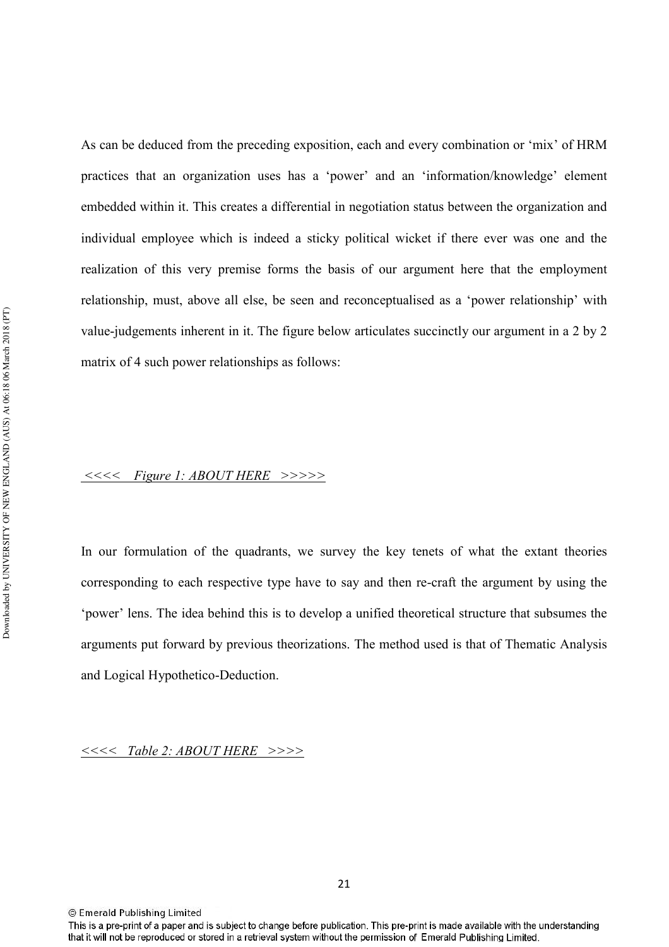As can be deduced from the preceding exposition, each and every combination or 'mix' of HRM practices that an organization uses has a 'power' and an 'information/knowledge' element embedded within it. This creates a differential in negotiation status between the organization and individual employee which is indeed a sticky political wicket if there ever was one and the realization of this very premise forms the basis of our argument here that the employment relationship, must, above all else, be seen and reconceptualised as a 'power relationship' with value-judgements inherent in it. The figure below articulates succinctly our argument in a 2 by 2 matrix of 4 such power relationships as follows:

#### *-----2\$- - 
-----*

In our formulation of the quadrants, we survey the key tenets of what the extant theories corresponding to each respective type have to say and then re-craft the argument by using the 'power' lens. The idea behind this is to develop a unified theoretical structure that subsumes the arguments put forward by previous theorizations. The method used is that of Thematic Analysis and Logical Hypothetico-Deduction.

*----' - 
-----*

<sup>©</sup> Emerald Publishing Limited

This is a pre-print of a paper and is subject to change before publication. This pre-print is made available with the understanding that it will not be reproduced or stored in a retrieval system without the permission of Emerald Publishing Limited.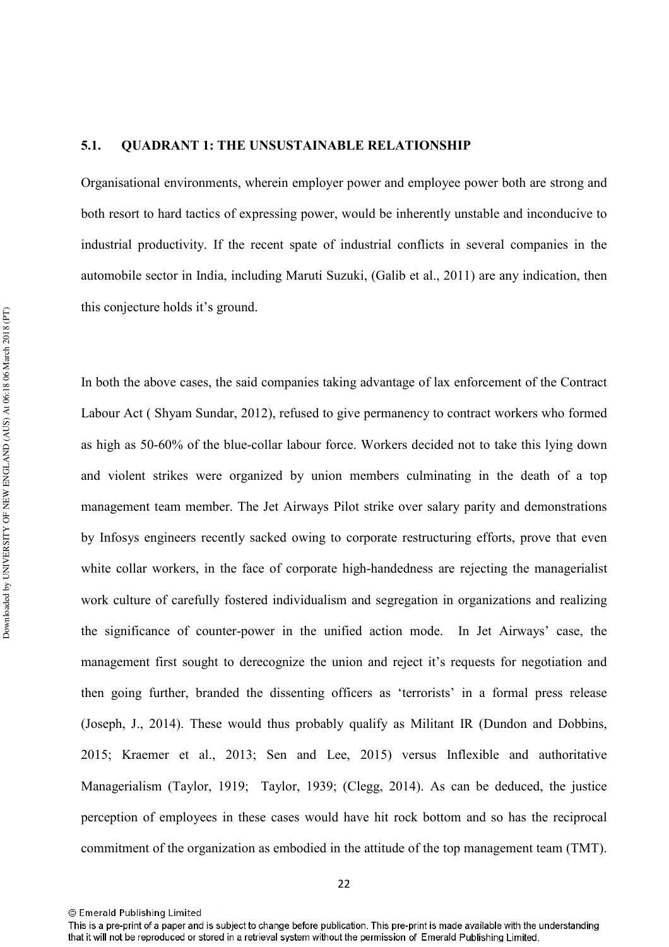#### **5.1. QUADRANT 1: THE UNSUSTAINABLE RELATIONSHIP**

Organisational environments, wherein employer power and employee power both are strong and both resort to hard tactics of expressing power, would be inherently unstable and inconducive to industrial productivity. If the recent spate of industrial conflicts in several companies in the automobile sector in India, including Maruti Suzuki, (Galib et al., 2011) are any indication, then this conjecture holds it's ground.

In both the above cases, the said companies taking advantage of lax enforcement of the Contract Labour Act ( Shyam Sundar, 2012), refused to give permanency to contract workers who formed as high as 50-60% of the blue-collar labour force. Workers decided not to take this lying down and violent strikes were organized by union members culminating in the death of a top management team member. The Jet Airways Pilot strike over salary parity and demonstrations by Infosys engineers recently sacked owing to corporate restructuring efforts, prove that even white collar workers, in the face of corporate high-handedness are rejecting the managerialist work culture of carefully fostered individualism and segregation in organizations and realizing the significance of counter-power in the unified action mode. In Jet Airways' case, the management first sought to derecognize the union and reject it's requests for negotiation and then going further, branded the dissenting officers as 'terrorists' in a formal press release (Joseph, J., 2014). These would thus probably qualify as Militant IR (Dundon and Dobbins, 2015; Kraemer et al., 2013; Sen and Lee, 2015) versus Inflexible and authoritative Managerialism (Taylor, 1919; Taylor, 1939; (Clegg, 2014). As can be deduced, the justice perception of employees in these cases would have hit rock bottom and so has the reciprocal commitment of the organization as embodied in the attitude of the top management team (TMT).

<sup>©</sup> Emerald Publishing Limited

This is a pre-print of a paper and is subject to change before publication. This pre-print is made available with the understanding that it will not be reproduced or stored in a retrieval system without the permission of Emerald Publishing Limited.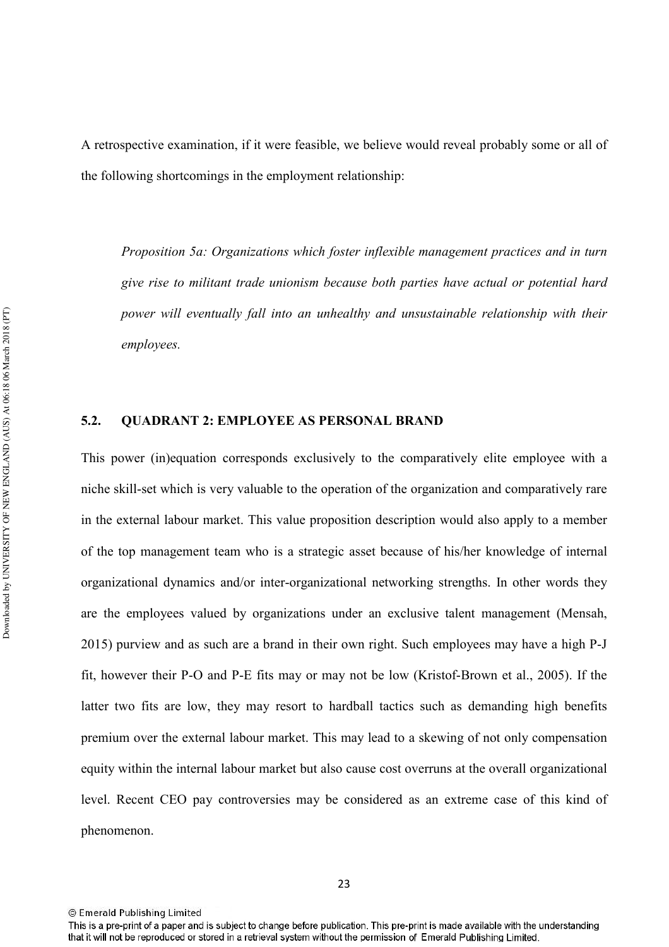A retrospective examination, if it were feasible, we believe would reveal probably some or all of the following shortcomings in the employment relationship:

Proposition 5a: Organizations which foster inflexible management practices and in turn give rise to militant trade unionism because both parties have actual or potential hard *power will eventually fall into an unhealthy and unsustainable relationship with their*  $emploves.$ 

#### **5.2. QUADRANT 2: EMPLOYEE AS PERSONAL BRAND**

This power (in)equation corresponds exclusively to the comparatively elite employee with a niche skillset which is very valuable to the operation of the organization and comparatively rare in the external labour market. This value proposition description would also apply to a member of the top management team who is a strategic asset because of his/her knowledge of internal organizational dynamics and/or inter-organizational networking strengths. In other words they are the employees valued by organizations under an exclusive talent management (Mensah, 2015) purview and as such are a brand in their own right. Such employees may have a high P-J fit, however their P-O and P-E fits may or may not be low (Kristof-Brown et al., 2005). If the latter two fits are low, they may resort to hardball tactics such as demanding high benefits premium over the external labour market. This may lead to a skewing of not only compensation equity within the internal labour market but also cause cost overruns at the overall organizational level. Recent CEO pay controversies may be considered as an extreme case of this kind of phenomenon.

<sup>23</sup> 

<sup>©</sup> Emerald Publishing Limited

This is a pre-print of a paper and is subject to change before publication. This pre-print is made available with the understanding that it will not be reproduced or stored in a retrieval system without the permission of Emerald Publishing Limited.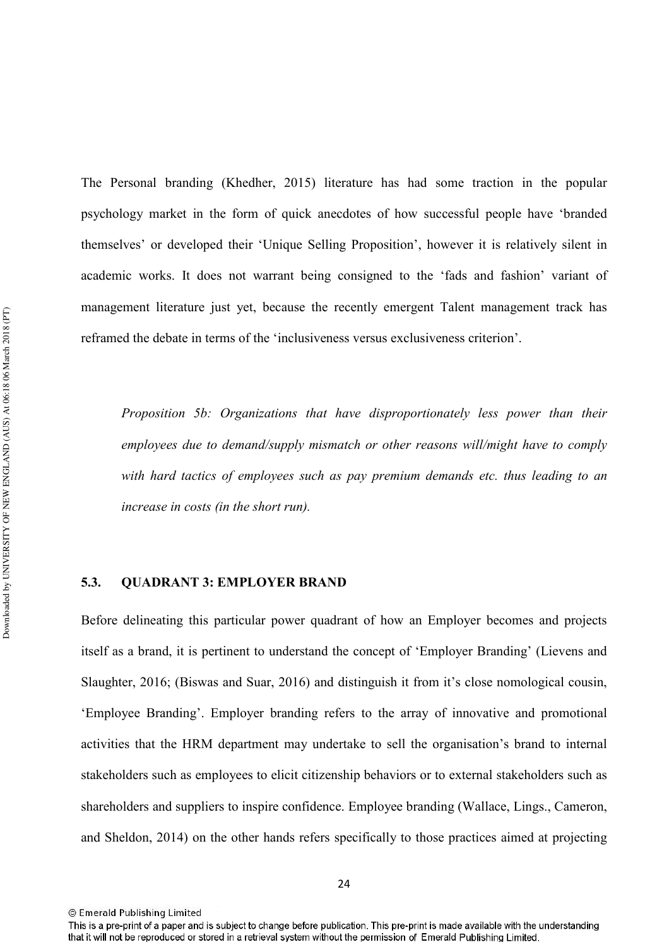The Personal branding (Khedher, 2015) literature has had some traction in the popular psychology market in the form of quick anecdotes of how successful people have 'branded themselves' or developed their 'Unique Selling Proposition', however it is relatively silent in academic works. It does not warrant being consigned to the 'fads and fashion' variant of management literature just yet, because the recently emergent Talent management track has reframed the debate in terms of the 'inclusiveness versus exclusiveness criterion'.

Proposition 5b: Organizations that have disproportionately less power than their *employees due to demand/supply mismatch or other reasons will/might have to comply* with hard tactics of employees such as pay premium demands etc. thus leading to an *increase in costs (in the short run).* 

#### **5.3. QUADRANT 3: EMPLOYER BRAND**

Before delineating this particular power quadrant of how an Employer becomes and projects itself as a brand, it is pertinent to understand the concept of 'Employer Branding' (Lievens and Slaughter, 2016; (Biswas and Suar, 2016) and distinguish it from it's close nomological cousin, 'Employee Branding'. Employer branding refers to the array of innovative and promotional activities that the HRM department may undertake to sell the organisation's brand to internal stakeholders such as employees to elicit citizenship behaviors or to external stakeholders such as shareholders and suppliers to inspire confidence. Employee branding (Wallace, Lings., Cameron, and Sheldon, 2014) on the other hands refers specifically to those practices aimed at projecting

<sup>24</sup> 

<sup>©</sup> Emerald Publishing Limited

This is a pre-print of a paper and is subject to change before publication. This pre-print is made available with the understanding that it will not be reproduced or stored in a retrieval system without the permission of Emerald Publishing Limited.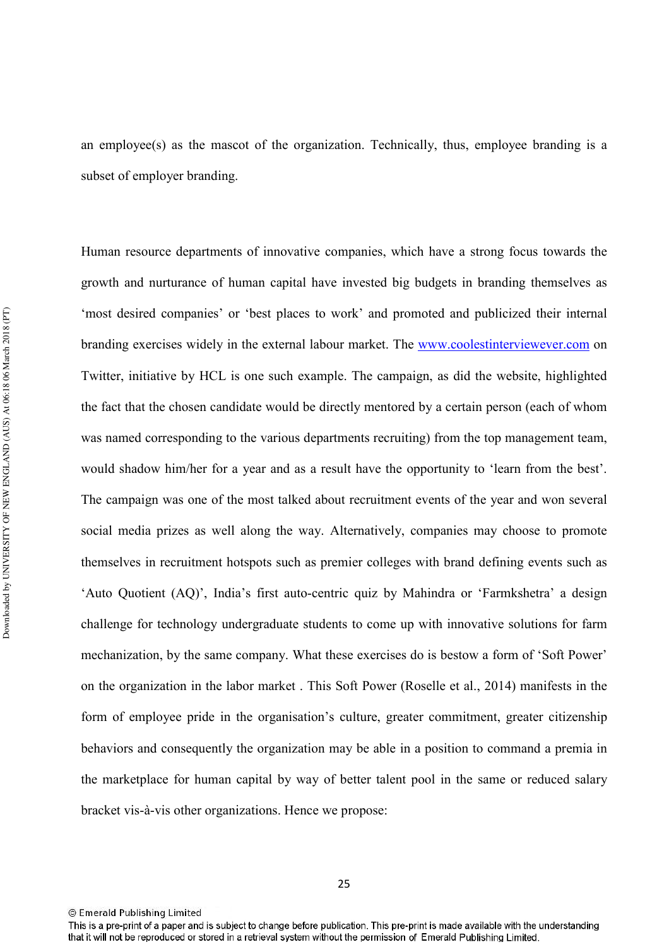an employee(s) as the mascot of the organization. Technically, thus, employee branding is a subset of employer branding.

Human resource departments of innovative companies, which have a strong focus towards the growth and nurturance of human capital have invested big budgets in branding themselves as 'most desired companies' or 'best places to work' and promoted and publicized their internal branding exercises widely in the external labour market. The www.coolestinterviewever.com on Twitter, initiative by HCL is one such example. The campaign, as did the website, highlighted the fact that the chosen candidate would be directly mentored by a certain person (each of whom was named corresponding to the various departments recruiting) from the top management team, would shadow him/her for a year and as a result have the opportunity to 'learn from the best'. The campaign was one of the most talked about recruitment events of the year and won several social media prizes as well along the way. Alternatively, companies may choose to promote themselves in recruitment hotspots such as premier colleges with brand defining events such as 'Auto Quotient (AQ)', India's first auto-centric quiz by Mahindra or 'Farmkshetra' a design challenge for technology undergraduate students to come up with innovative solutions for farm mechanization, by the same company. What these exercises do is bestow a form of 'Soft Power' on the organization in the labor market . This Soft Power (Roselle et al., 2014) manifests in the form of employee pride in the organisation's culture, greater commitment, greater citizenship behaviors and consequently the organization may be able in a position to command a premia in the marketplace for human capital by way of better talent pool in the same or reduced salary bracket vis-à-vis other organizations. Hence we propose:

<sup>©</sup> Emerald Publishing Limited

This is a pre-print of a paper and is subject to change before publication. This pre-print is made available with the understanding that it will not be reproduced or stored in a retrieval system without the permission of Emerald Publishing Limited.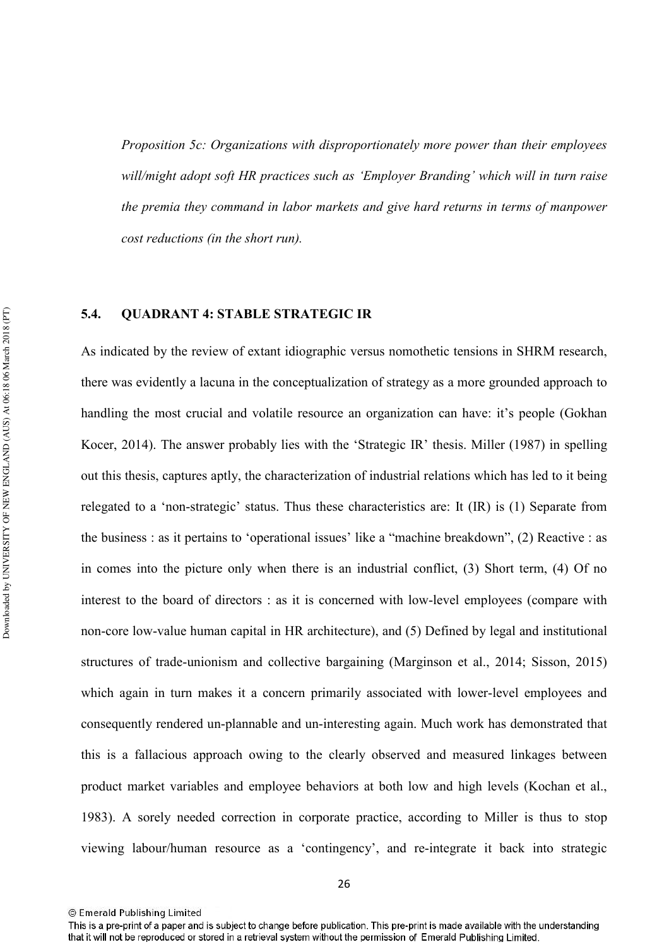*Proposition 5c: Organizations with disproportionately more power than their employees* will/might adopt soft HR practices such as 'Employer Branding' which will in turn raise the premia they command in labor markets and give hard returns in terms of manpower *cost reductions (in the short run).* 

#### **5.4. QUADRANT 4: STABLE STRATEGIC IR**

As indicated by the review of extant idiographic versus nomothetic tensions in SHRM research, there was evidently a lacuna in the conceptualization of strategy as a more grounded approach to handling the most crucial and volatile resource an organization can have: it's people (Gokhan Kocer, 2014). The answer probably lies with the 'Strategic IR' thesis. Miller (1987) in spelling out this thesis, captures aptly, the characterization of industrial relations which has led to it being relegated to a 'non-strategic' status. Thus these characteristics are: It (IR) is (1) Separate from the business : as it pertains to 'operational issues' like a "machine breakdown", (2) Reactive : as in comes into the picture only when there is an industrial conflict, (3) Short term, (4) Of no interest to the board of directors : as it is concerned with low-level employees (compare with non-core low-value human capital in HR architecture), and (5) Defined by legal and institutional structures of trade-unionism and collective bargaining (Marginson et al.,  $2014$ ; Sisson,  $2015$ ) which again in turn makes it a concern primarily associated with lower-level employees and consequently rendered un-plannable and un-interesting again. Much work has demonstrated that this is a fallacious approach owing to the clearly observed and measured linkages between product market variables and employee behaviors at both low and high levels (Kochan et al., 1983). A sorely needed correction in corporate practice, according to Miller is thus to stop viewing labour/human resource as a 'contingency', and re-integrate it back into strategic

<sup>©</sup> Emerald Publishing Limited

This is a pre-print of a paper and is subject to change before publication. This pre-print is made available with the understanding that it will not be reproduced or stored in a retrieval system without the permission of Emerald Publishing Limited.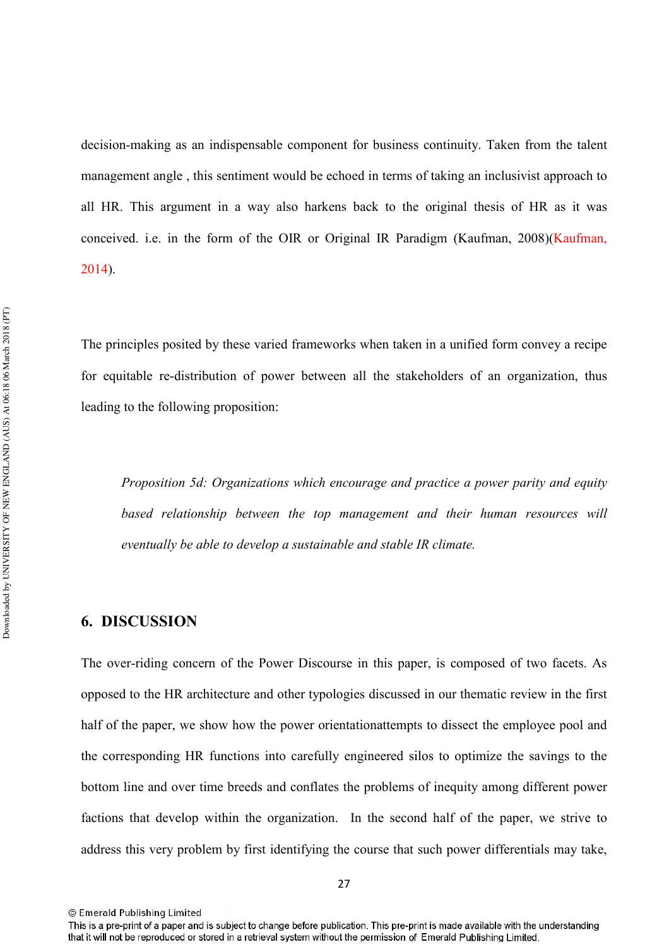decision-making as an indispensable component for business continuity. Taken from the talent management angle , this sentiment would be echoed in terms of taking an inclusivist approach to all HR. This argument in a way also harkens back to the original thesis of HR as it was conceived. i.e. in the form of the OIR or Original IR Paradigm (Kaufman, 2008)(Kaufman, 2014).

The principles posited by these varied frameworks when taken in a unified form convey a recipe for equitable redistribution of power between all the stakeholders of an organization, thus leading to the following proposition:

*Proposition 5d: Organizations which encourage and practice a power parity and equity based relationship between the top management and their human resources will eventually be able to develop a sustainable and stable IR climate.* 

# **6. DISCUSSION**

The over-riding concern of the Power Discourse in this paper, is composed of two facets. As opposed to the HR architecture and other typologies discussed in our thematic review in the first half of the paper, we show how the power orientationattempts to dissect the employee pool and the corresponding HR functions into carefully engineered silos to optimize the savings to the bottom line and over time breeds and conflates the problems of inequity among different power factions that develop within the organization. In the second half of the paper, we strive to address this very problem by first identifying the course that such power differentials may take,

<sup>©</sup> Emerald Publishing Limited

This is a pre-print of a paper and is subject to change before publication. This pre-print is made available with the understanding that it will not be reproduced or stored in a retrieval system without the permission of Emerald Publishing Limited.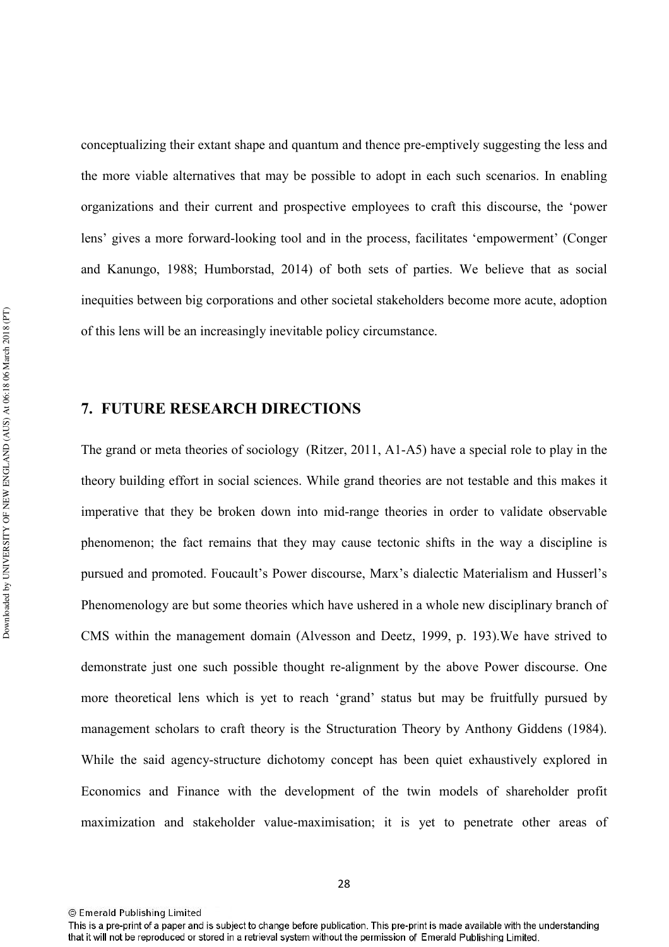conceptualizing their extant shape and quantum and thence pre-emptively suggesting the less and the more viable alternatives that may be possible to adopt in each such scenarios. In enabling organizations and their current and prospective employees to craft this discourse, the 'power lens' gives a more forward-looking tool and in the process, facilitates 'empowerment' (Conger and Kanungo, 1988; Humborstad, 2014) of both sets of parties. We believe that as social inequities between big corporations and other societal stakeholders become more acute, adoption of this lens will be an increasingly inevitable policy circumstance.

## **7. FUTURE RESEARCH DIRECTIONS**

The grand or meta theories of sociology (Ritzer, 2011, A1-A5) have a special role to play in the theory building effort in social sciences. While grand theories are not testable and this makes it imperative that they be broken down into mid-range theories in order to validate observable phenomenon; the fact remains that they may cause tectonic shifts in the way a discipline is pursued and promoted. Foucault's Power discourse, Marx's dialectic Materialism and Husserl's Phenomenology are but some theories which have ushered in a whole new disciplinary branch of CMS within the management domain (Alvesson and Deetz, 1999, p. 193).We have strived to demonstrate just one such possible thought re-alignment by the above Power discourse. One more theoretical lens which is yet to reach 'grand' status but may be fruitfully pursued by management scholars to craft theory is the Structuration Theory by Anthony Giddens (1984). While the said agency-structure dichotomy concept has been quiet exhaustively explored in Economics and Finance with the development of the twin models of shareholder profit maximization and stakeholder value-maximisation; it is yet to penetrate other areas of

<sup>©</sup> Emerald Publishing Limited

This is a pre-print of a paper and is subject to change before publication. This pre-print is made available with the understanding that it will not be reproduced or stored in a retrieval system without the permission of Emerald Publishing Limited.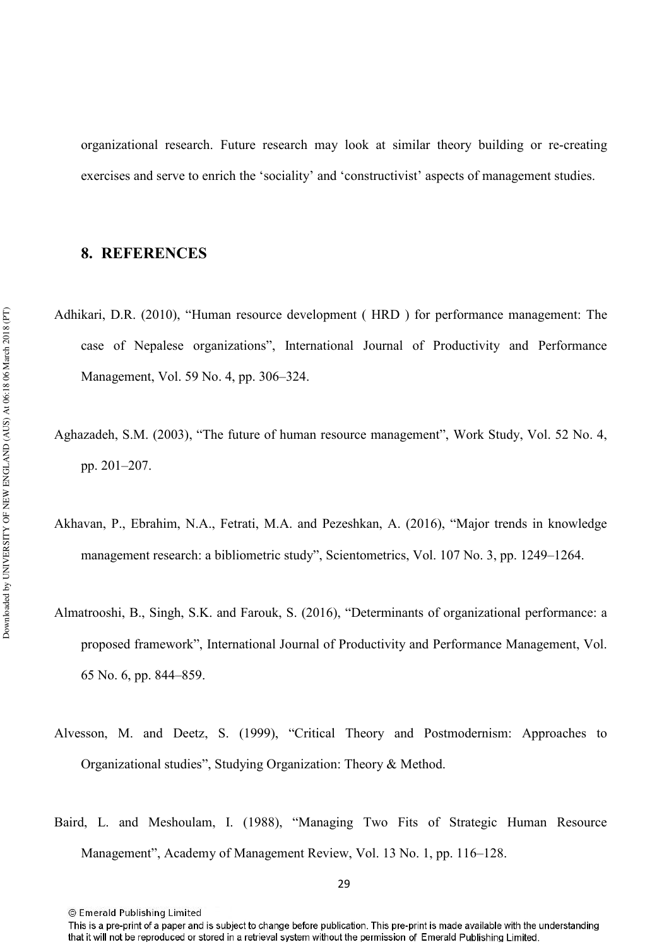organizational research. Future research may look at similar theory building or recreating exercises and serve to enrich the 'sociality' and 'constructivist' aspects of management studies.

# 8. REFERENCES

- Adhikari, D.R. (2010), "Human resource development ( HRD ) for performance management: The case of Nepalese organizations", International Journal of Productivity and Performance Management, Vol. 59 No. 4, pp. 306–324.
- Aghazadeh, S.M. (2003), "The future of human resource management", Work Study, Vol. 52 No. 4, pp. 201–207.
- Akhavan, P., Ebrahim, N.A., Fetrati, M.A. and Pezeshkan, A. (2016), "Major trends in knowledge management research: a bibliometric study", Scientometrics, Vol. 107 No. 3, pp. 1249–1264.
- Almatrooshi, B., Singh, S.K. and Farouk, S. (2016), "Determinants of organizational performance: a proposed framework", International Journal of Productivity and Performance Management, Vol. 65 No. 6, pp. 844–859.
- Alvesson, M. and Deetz, S. (1999), "Critical Theory and Postmodernism: Approaches to Organizational studies", Studying Organization: Theory & Method.
- Baird, L. and Meshoulam, I. (1988), "Managing Two Fits of Strategic Human Resource Management", Academy of Management Review, Vol. 13 No. 1, pp. 116–128.

This is a pre-print of a paper and is subject to change before publication. This pre-print is made available with the understanding that it will not be reproduced or stored in a retrieval system without the permission of Emerald Publishing Limited.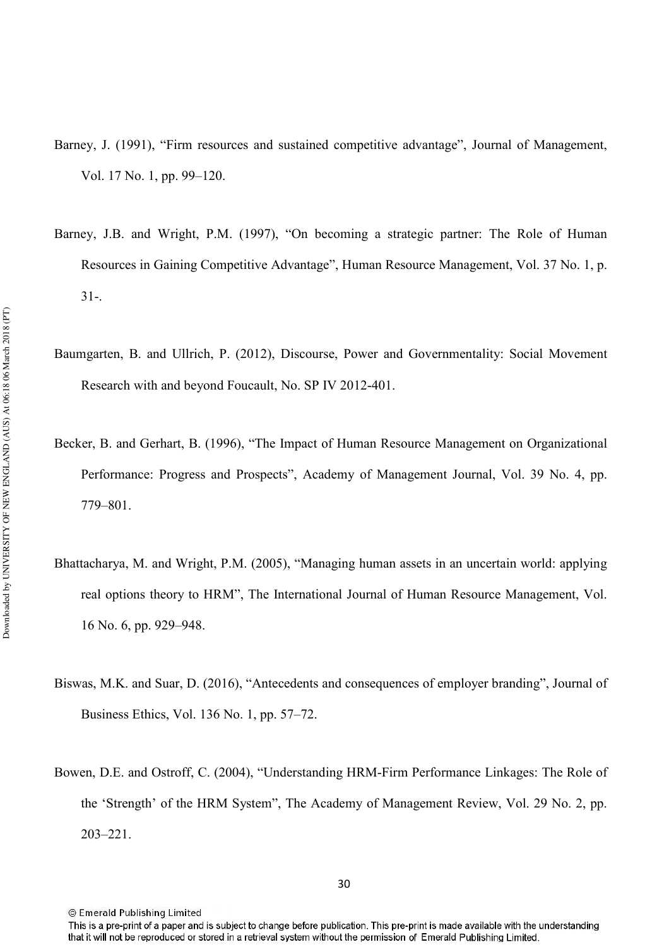- Barney, J. (1991), "Firm resources and sustained competitive advantage", Journal of Management, Vol. 17 No. 1, pp. 99–120.
- Barney, J.B. and Wright, P.M. (1997), "On becoming a strategic partner: The Role of Human Resources in Gaining Competitive Advantage", Human Resource Management, Vol. 37 No. 1, p.  $31 -$
- Baumgarten, B. and Ullrich, P. (2012), Discourse, Power and Governmentality: Social Movement Research with and beyond Foucault, No. SP IV 2012-401.
- Becker, B. and Gerhart, B. (1996), "The Impact of Human Resource Management on Organizational Performance: Progress and Prospects", Academy of Management Journal, Vol. 39 No. 4, pp. 779–801.
- Bhattacharya, M. and Wright, P.M. (2005), "Managing human assets in an uncertain world: applying real options theory to HRM", The International Journal of Human Resource Management, Vol. 16 No. 6, pp. 929–948.
- Biswas, M.K. and Suar, D. (2016), "Antecedents and consequences of employer branding", Journal of Business Ethics, Vol. 136 No. 1, pp. 57–72.
- Bowen, D.E. and Ostroff, C. (2004), "Understanding HRM-Firm Performance Linkages: The Role of the 'Strength' of the HRM System", The Academy of Management Review, Vol. 29 No. 2, pp. 203–221.

<sup>©</sup> Emerald Publishing Limited

This is a pre-print of a paper and is subject to change before publication. This pre-print is made available with the understanding that it will not be reproduced or stored in a retrieval system without the permission of Emerald Publishing Limited.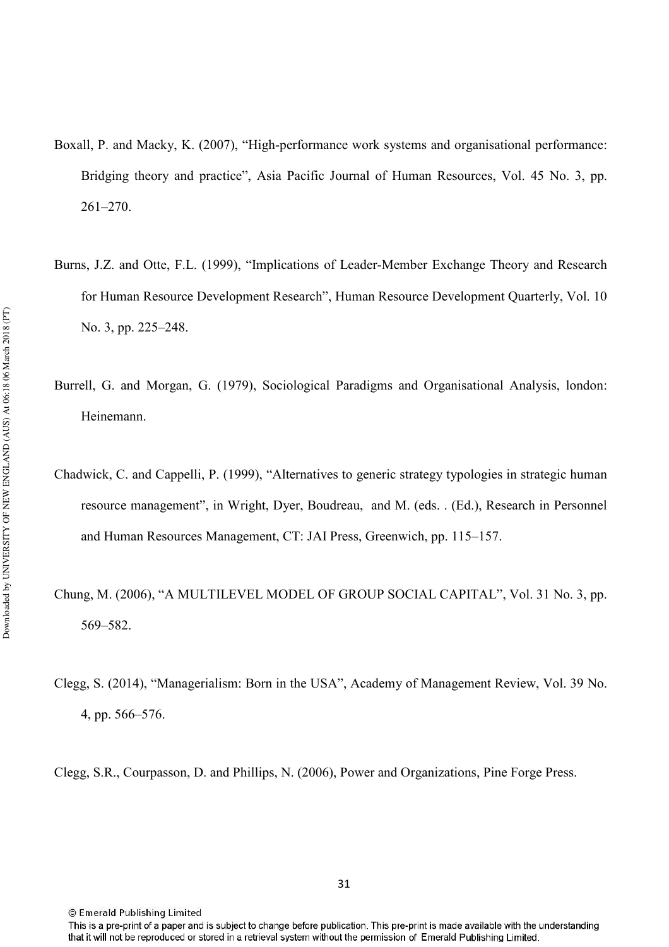- Boxall, P. and Macky, K. (2007), "High-performance work systems and organisational performance: Bridging theory and practice", Asia Pacific Journal of Human Resources, Vol. 45 No. 3, pp. 261–270.
- Burns, J.Z. and Otte, F.L. (1999), "Implications of Leader-Member Exchange Theory and Research for Human Resource Development Research", Human Resource Development Quarterly, Vol. 10 No. 3, pp. 225–248.
- Burrell, G. and Morgan, G. (1979), Sociological Paradigms and Organisational Analysis, london: Heinemann.
- Chadwick, C. and Cappelli, P. (1999), "Alternatives to generic strategy typologies in strategic human resource management", in Wright, Dyer, Boudreau, and M. (eds. . (Ed.), Research in Personnel and Human Resources Management, CT: JAI Press, Greenwich, pp. 115–157.

Chung, M. (2006), "A MULTILEVEL MODEL OF GROUP SOCIAL CAPITAL", Vol. 31 No. 3, pp. 569–582.

Clegg, S. (2014), "Managerialism: Born in the USA", Academy of Management Review, Vol. 39 No. 4, pp. 566–576.

Clegg, S.R., Courpasson, D. and Phillips, N. (2006), Power and Organizations, Pine Forge Press.

This is a pre-print of a paper and is subject to change before publication. This pre-print is made available with the understanding that it will not be reproduced or stored in a retrieval system without the permission of Emerald Publishing Limited.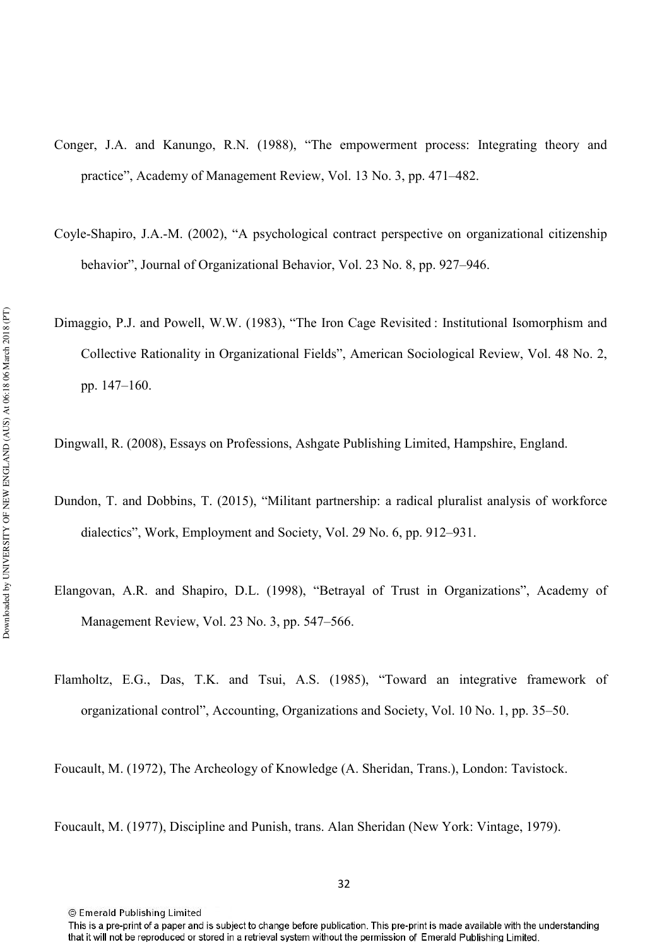- Conger, J.A. and Kanungo, R.N. (1988), "The empowerment process: Integrating theory and practice", Academy of Management Review, Vol. 13 No. 3, pp. 471–482.
- Coyle-Shapiro, J.A.-M. (2002), "A psychological contract perspective on organizational citizenship behavior", Journal of Organizational Behavior, Vol. 23 No. 8, pp. 927–946.
- Dimaggio, P.J. and Powell, W.W. (1983), "The Iron Cage Revisited : Institutional Isomorphism and Collective Rationality in Organizational Fields", American Sociological Review, Vol. 48 No. 2, pp. 147–160.
- Dingwall, R. (2008), Essays on Professions, Ashgate Publishing Limited, Hampshire, England.
- Dundon, T. and Dobbins, T. (2015), "Militant partnership: a radical pluralist analysis of workforce dialectics", Work, Employment and Society, Vol. 29 No. 6, pp. 912–931.
- Elangovan, A.R. and Shapiro, D.L. (1998), "Betrayal of Trust in Organizations", Academy of Management Review, Vol. 23 No. 3, pp. 547–566.
- Flamholtz, E.G., Das, T.K. and Tsui, A.S. (1985), "Toward an integrative framework of organizational control", Accounting, Organizations and Society, Vol. 10 No. 1, pp. 35–50.

Foucault, M. (1972), The Archeology of Knowledge (A. Sheridan, Trans.), London: Tavistock.

Foucault, M. (1977), Discipline and Punish, trans. Alan Sheridan (New York: Vintage, 1979).

This is a pre-print of a paper and is subject to change before publication. This pre-print is made available with the understanding that it will not be reproduced or stored in a retrieval system without the permission of Emerald Publishing Limited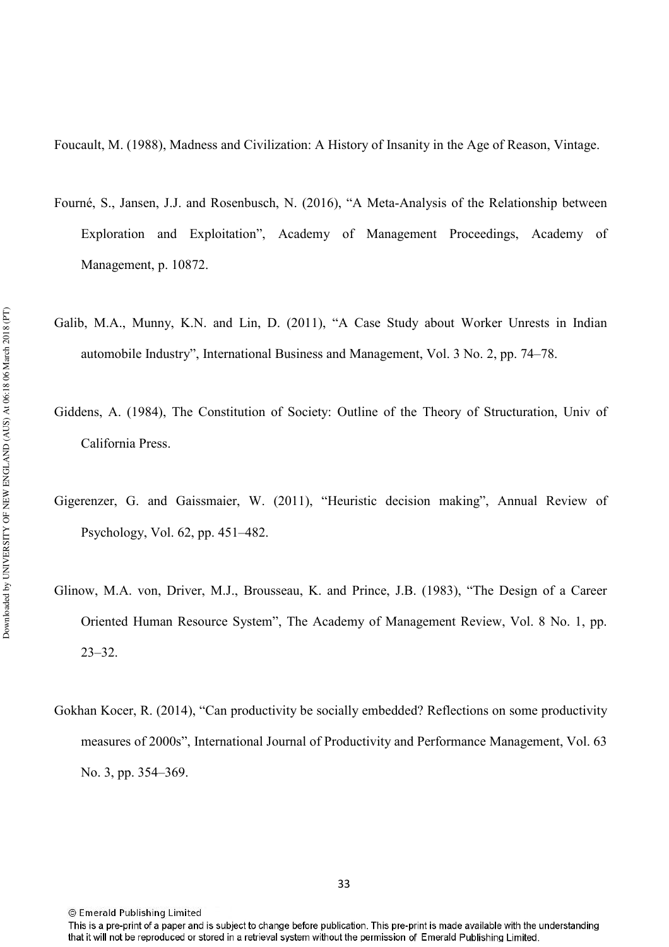Foucault, M. (1988), Madness and Civilization: A History of Insanity in the Age of Reason, Vintage.

- Fourné, S., Jansen, J.J. and Rosenbusch, N. (2016), "A Meta-Analysis of the Relationship between Exploration and Exploitation", Academy of Management Proceedings, Academy of Management, p. 10872.
- Galib, M.A., Munny, K.N. and Lin, D. (2011), "A Case Study about Worker Unrests in Indian automobile Industry", International Business and Management, Vol. 3 No. 2, pp. 74–78.
- Giddens, A. (1984), The Constitution of Society: Outline of the Theory of Structuration, Univ of California Press.
- Gigerenzer, G. and Gaissmaier, W. (2011), "Heuristic decision making", Annual Review of Psychology, Vol. 62, pp. 451–482.
- Glinow, M.A. von, Driver, M.J., Brousseau, K. and Prince, J.B. (1983), "The Design of a Career Oriented Human Resource System", The Academy of Management Review, Vol. 8 No. 1, pp. 23–32.
- Gokhan Kocer, R. (2014), "Can productivity be socially embedded? Reflections on some productivity measures of 2000s", International Journal of Productivity and Performance Management, Vol. 63 No. 3, pp. 354–369.

This is a pre-print of a paper and is subject to change before publication. This pre-print is made available with the understanding that it will not be reproduced or stored in a retrieval system without the permission of Emerald Publishing Limited.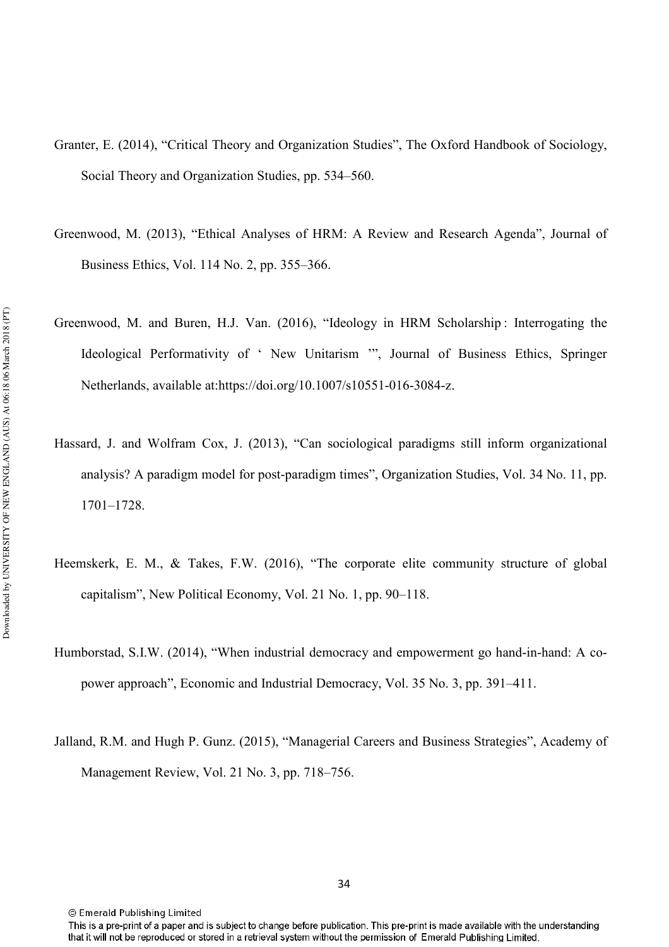- Granter, E. (2014), "Critical Theory and Organization Studies", The Oxford Handbook of Sociology, Social Theory and Organization Studies, pp. 534–560.
- Greenwood, M. (2013), "Ethical Analyses of HRM: A Review and Research Agenda", Journal of Business Ethics, Vol. 114 No. 2, pp. 355–366.
- Greenwood, M. and Buren, H.J. Van. (2016), "Ideology in HRM Scholarship : Interrogating the Ideological Performativity of ' New Unitarism '", Journal of Business Ethics, Springer Netherlands, available at:https://doi.org/10.1007/s10551-016-3084-z.
- Hassard, J. and Wolfram Cox, J. (2013), "Can sociological paradigms still inform organizational analysis? A paradigm model for post-paradigm times", Organization Studies, Vol. 34 No. 11, pp. 1701–1728.
- Heemskerk, E. M., & Takes, F.W. (2016), "The corporate elite community structure of global capitalism", New Political Economy, Vol. 21 No. 1, pp. 90–118.
- Humborstad, S.I.W. (2014), "When industrial democracy and empowerment go hand-in-hand: A copower approach", Economic and Industrial Democracy, Vol. 35 No. 3, pp. 391–411.
- Jalland, R.M. and Hugh P. Gunz. (2015), "Managerial Careers and Business Strategies", Academy of Management Review, Vol. 21 No. 3, pp. 718–756.

<sup>©</sup> Emerald Publishing Limited

This is a pre-print of a paper and is subject to change before publication. This pre-print is made available with the understanding that it will not be reproduced or stored in a retrieval system without the permission of Emerald Publishing Limited.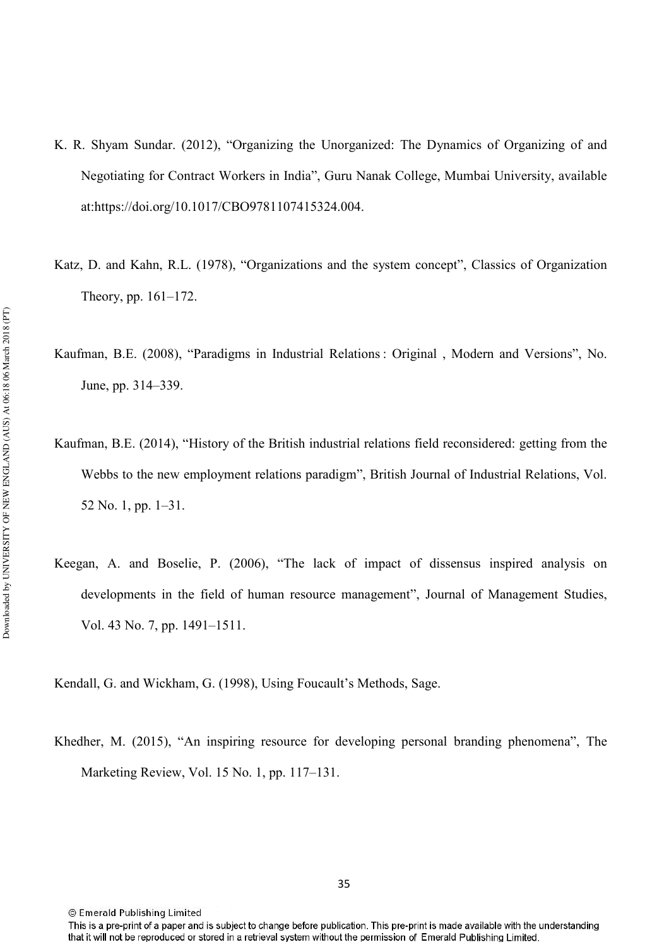- K. R. Shyam Sundar. (2012), "Organizing the Unorganized: The Dynamics of Organizing of and Negotiating for Contract Workers in India", Guru Nanak College, Mumbai University, available at:https://doi.org/10.1017/CBO9781107415324.004.
- Katz, D. and Kahn, R.L. (1978), "Organizations and the system concept", Classics of Organization Theory, pp. 161–172.
- Kaufman, B.E. (2008), "Paradigms in Industrial Relations : Original , Modern and Versions", No. June, pp. 314–339.
- Kaufman, B.E. (2014), "History of the British industrial relations field reconsidered: getting from the Webbs to the new employment relations paradigm", British Journal of Industrial Relations, Vol. 52 No. 1, pp. 1–31.
- Keegan, A. and Boselie, P. (2006), "The lack of impact of dissensus inspired analysis on developments in the field of human resource management", Journal of Management Studies, Vol. 43 No. 7, pp. 1491–1511.

Kendall, G. and Wickham, G. (1998), Using Foucault's Methods, Sage.

Khedher, M. (2015), "An inspiring resource for developing personal branding phenomena", The Marketing Review, Vol. 15 No. 1, pp. 117–131.

This is a pre-print of a paper and is subject to change before publication. This pre-print is made available with the understanding that it will not be reproduced or stored in a retrieval system without the permission of Emerald Publishing Limited.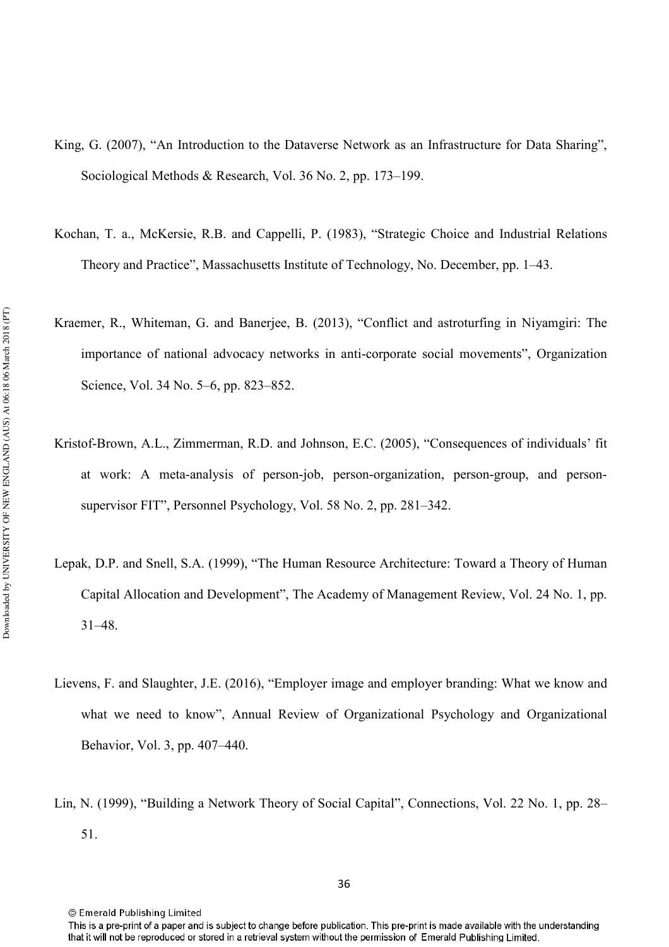- King, G. (2007), "An Introduction to the Dataverse Network as an Infrastructure for Data Sharing", Sociological Methods & Research, Vol. 36 No. 2, pp. 173–199.
- Kochan, T. a., McKersie, R.B. and Cappelli, P. (1983), "Strategic Choice and Industrial Relations Theory and Practice", Massachusetts Institute of Technology, No. December, pp. 1–43.
- Kraemer, R., Whiteman, G. and Banerjee, B. (2013), "Conflict and astroturfing in Niyamgiri: The importance of national advocacy networks in anticorporate social movements", Organization Science, Vol. 34 No. 5–6, pp. 823–852.
- Kristof-Brown, A.L., Zimmerman, R.D. and Johnson, E.C. (2005), "Consequences of individuals' fit at work: A meta-analysis of person-job, person-organization, person-group, and personsupervisor FIT", Personnel Psychology, Vol. 58 No. 2, pp. 281–342.
- Lepak, D.P. and Snell, S.A. (1999), "The Human Resource Architecture: Toward a Theory of Human Capital Allocation and Development", The Academy of Management Review, Vol. 24 No. 1, pp. 31–48.
- Lievens, F. and Slaughter, J.E. (2016), "Employer image and employer branding: What we know and what we need to know", Annual Review of Organizational Psychology and Organizational Behavior, Vol. 3, pp. 407–440.
- Lin, N. (1999), "Building a Network Theory of Social Capital", Connections, Vol. 22 No. 1, pp. 28– 51.

This is a pre-print of a paper and is subject to change before publication. This pre-print is made available with the understanding that it will not be reproduced or stored in a retrieval system without the permission of Emerald Publishing Limited.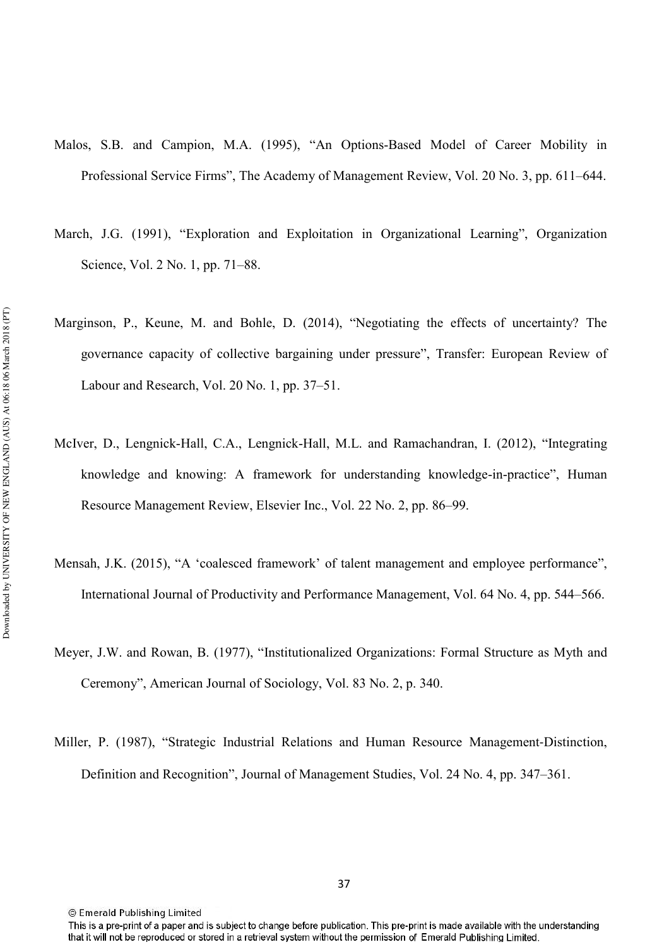- Malos, S.B. and Campion, M.A. (1995), "An Options-Based Model of Career Mobility in Professional Service Firms", The Academy of Management Review, Vol. 20 No. 3, pp. 611–644.
- March, J.G. (1991), "Exploration and Exploitation in Organizational Learning", Organization Science, Vol. 2 No. 1, pp. 71–88.
- Marginson, P., Keune, M. and Bohle, D. (2014), "Negotiating the effects of uncertainty? The governance capacity of collective bargaining under pressure", Transfer: European Review of Labour and Research, Vol. 20 No. 1, pp. 37–51.
- McIver, D., Lengnick-Hall, C.A., Lengnick-Hall, M.L. and Ramachandran, I. (2012), "Integrating knowledge and knowing: A framework for understanding knowledge-in-practice", Human Resource Management Review, Elsevier Inc., Vol. 22 No. 2, pp. 86–99.
- Mensah, J.K. (2015), "A 'coalesced framework' of talent management and employee performance", International Journal of Productivity and Performance Management, Vol. 64 No. 4, pp. 544–566.
- Meyer, J.W. and Rowan, B. (1977), "Institutionalized Organizations: Formal Structure as Myth and Ceremony", American Journal of Sociology, Vol. 83 No. 2, p. 340.
- Miller, P. (1987), "Strategic Industrial Relations and Human Resource Management‐Distinction, Definition and Recognition", Journal of Management Studies, Vol. 24 No. 4, pp. 347–361.

This is a pre-print of a paper and is subject to change before publication. This pre-print is made available with the understanding that it will not be reproduced or stored in a retrieval system without the permission of Emerald Publishing Limited.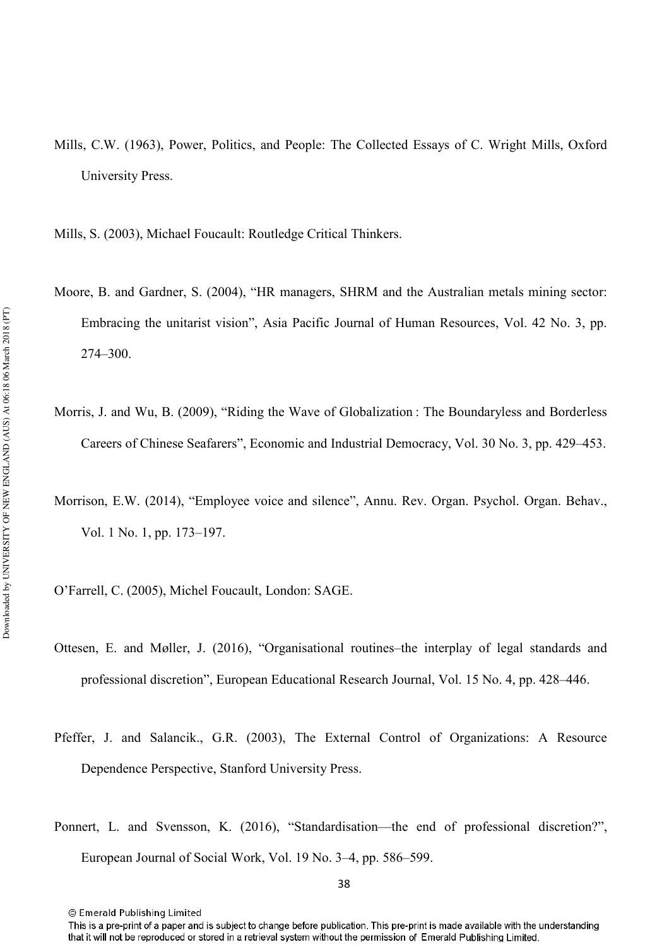Mills, C.W. (1963), Power, Politics, and People: The Collected Essays of C. Wright Mills, Oxford University Press.

Mills, S. (2003), Michael Foucault: Routledge Critical Thinkers.

- Moore, B. and Gardner, S. (2004), "HR managers, SHRM and the Australian metals mining sector: Embracing the unitarist vision", Asia Pacific Journal of Human Resources, Vol. 42 No. 3, pp. 274–300.
- Morris, J. and Wu, B. (2009), "Riding the Wave of Globalization : The Boundaryless and Borderless Careers of Chinese Seafarers", Economic and Industrial Democracy, Vol. 30 No. 3, pp. 429–453.
- Morrison, E.W. (2014), "Employee voice and silence", Annu. Rev. Organ. Psychol. Organ. Behav., Vol. 1 No. 1, pp. 173–197.
- O'Farrell, C. (2005), Michel Foucault, London: SAGE.
- Ottesen, E. and Møller, J. (2016), "Organisational routines–the interplay of legal standards and professional discretion", European Educational Research Journal, Vol. 15 No. 4, pp. 428–446.
- Pfeffer, J. and Salancik., G.R. (2003), The External Control of Organizations: A Resource Dependence Perspective, Stanford University Press.
- Ponnert, L. and Svensson, K. (2016), "Standardisation—the end of professional discretion?", European Journal of Social Work, Vol. 19 No. 3–4, pp. 586–599.

<sup>©</sup> Emerald Publishing Limited

This is a pre-print of a paper and is subject to change before publication. This pre-print is made available with the understanding that it will not be reproduced or stored in a retrieval system without the permission of Emerald Publishing Limited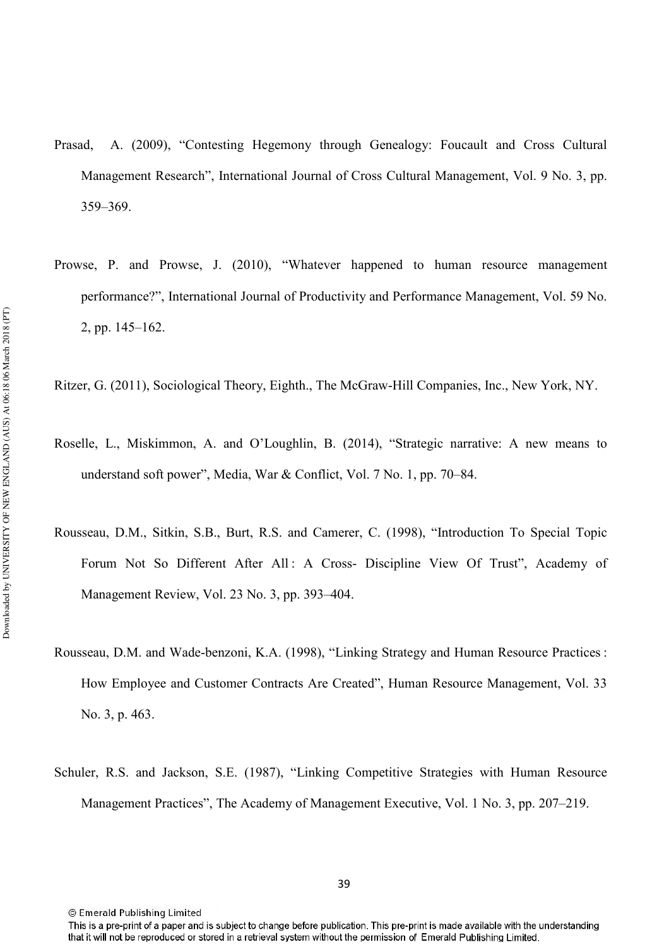- Prasad, A. (2009), "Contesting Hegemony through Genealogy: Foucault and Cross Cultural Management Research", International Journal of Cross Cultural Management, Vol. 9 No. 3, pp. 359–369.
- Prowse, P. and Prowse, J. (2010), "Whatever happened to human resource management performance?", International Journal of Productivity and Performance Management, Vol. 59 No. 2, pp. 145–162.
- Ritzer, G. (2011), Sociological Theory, Eighth., The McGrawHill Companies, Inc., New York, NY.
- Roselle, L., Miskimmon, A. and O'Loughlin, B. (2014), "Strategic narrative: A new means to understand soft power", Media, War & Conflict, Vol. 7 No. 1, pp. 70–84.
- Rousseau, D.M., Sitkin, S.B., Burt, R.S. and Camerer, C. (1998), "Introduction To Special Topic Forum Not So Different After All : A Cross- Discipline View Of Trust", Academy of Management Review, Vol. 23 No. 3, pp. 393–404.
- Rousseau, D.M. and Wade-benzoni, K.A. (1998), "Linking Strategy and Human Resource Practices : How Employee and Customer Contracts Are Created", Human Resource Management, Vol. 33 No. 3, p. 463.
- Schuler, R.S. and Jackson, S.E. (1987), "Linking Competitive Strategies with Human Resource Management Practices", The Academy of Management Executive, Vol. 1 No. 3, pp. 207–219.

This is a pre-print of a paper and is subject to change before publication. This pre-print is made available with the understanding that it will not be reproduced or stored in a retrieval system without the permission of Emerald Publishing Limited.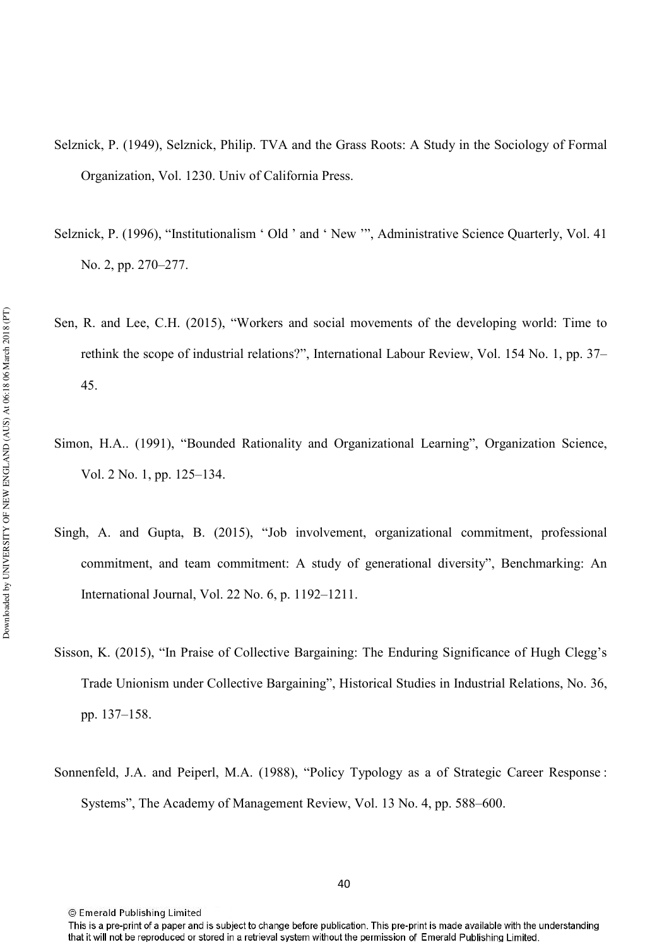- Selznick, P. (1949), Selznick, Philip. TVA and the Grass Roots: A Study in the Sociology of Formal Organization, Vol. 1230. Univ of California Press.
- Selznick, P. (1996), "Institutionalism ' Old ' and ' New '", Administrative Science Quarterly, Vol. 41 No. 2, pp. 270–277.
- Sen, R. and Lee, C.H. (2015), "Workers and social movements of the developing world: Time to rethink the scope of industrial relations?", International Labour Review, Vol. 154 No. 1, pp. 37– 45.
- Simon, H.A.. (1991), "Bounded Rationality and Organizational Learning", Organization Science, Vol. 2 No. 1, pp. 125–134.
- Singh, A. and Gupta, B. (2015), "Job involvement, organizational commitment, professional commitment, and team commitment: A study of generational diversity", Benchmarking: An International Journal, Vol. 22 No. 6, p. 1192–1211.
- Sisson, K. (2015), "In Praise of Collective Bargaining: The Enduring Significance of Hugh Clegg's Trade Unionism under Collective Bargaining", Historical Studies in Industrial Relations, No. 36, pp. 137–158.
- Sonnenfeld, J.A. and Peiperl, M.A. (1988), "Policy Typology as a of Strategic Career Response : Systems", The Academy of Management Review, Vol. 13 No. 4, pp. 588–600.

This is a pre-print of a paper and is subject to change before publication. This pre-print is made available with the understanding that it will not be reproduced or stored in a retrieval system without the permission of Emerald Publishing Limited.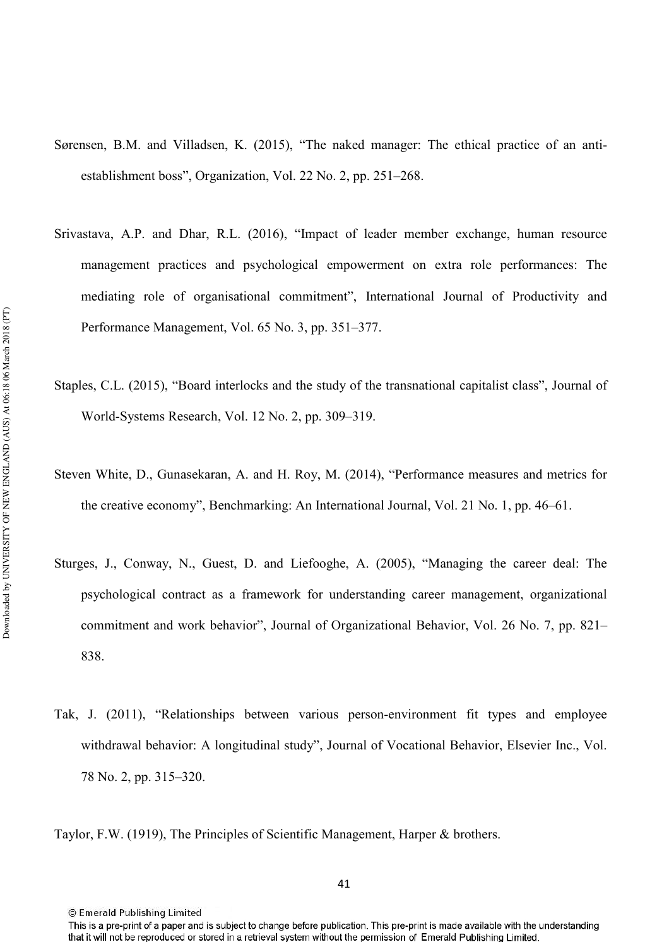- Sørensen, B.M. and Villadsen, K. (2015), "The naked manager: The ethical practice of an anti establishment boss", Organization, Vol. 22 No. 2, pp. 251–268.
- Srivastava, A.P. and Dhar, R.L. (2016), "Impact of leader member exchange, human resource management practices and psychological empowerment on extra role performances: The mediating role of organisational commitment", International Journal of Productivity and Performance Management, Vol. 65 No. 3, pp. 351–377.
- Staples, C.L. (2015), "Board interlocks and the study of the transnational capitalist class", Journal of World-Systems Research, Vol. 12 No. 2, pp. 309–319.
- Steven White, D., Gunasekaran, A. and H. Roy, M. (2014), "Performance measures and metrics for the creative economy", Benchmarking: An International Journal, Vol. 21 No. 1, pp. 46–61.
- Sturges, J., Conway, N., Guest, D. and Liefooghe, A. (2005), "Managing the career deal: The psychological contract as a framework for understanding career management, organizational commitment and work behavior", Journal of Organizational Behavior, Vol. 26 No. 7, pp. 821– 838.
- Tak, J. (2011), "Relationships between various personenvironment fit types and employee withdrawal behavior: A longitudinal study", Journal of Vocational Behavior, Elsevier Inc., Vol. 78 No. 2, pp. 315–320.
- Taylor, F.W. (1919), The Principles of Scientific Management, Harper & brothers.

This is a pre-print of a paper and is subject to change before publication. This pre-print is made available with the understanding that it will not be reproduced or stored in a retrieval system without the permission of Emerald Publishing Limited.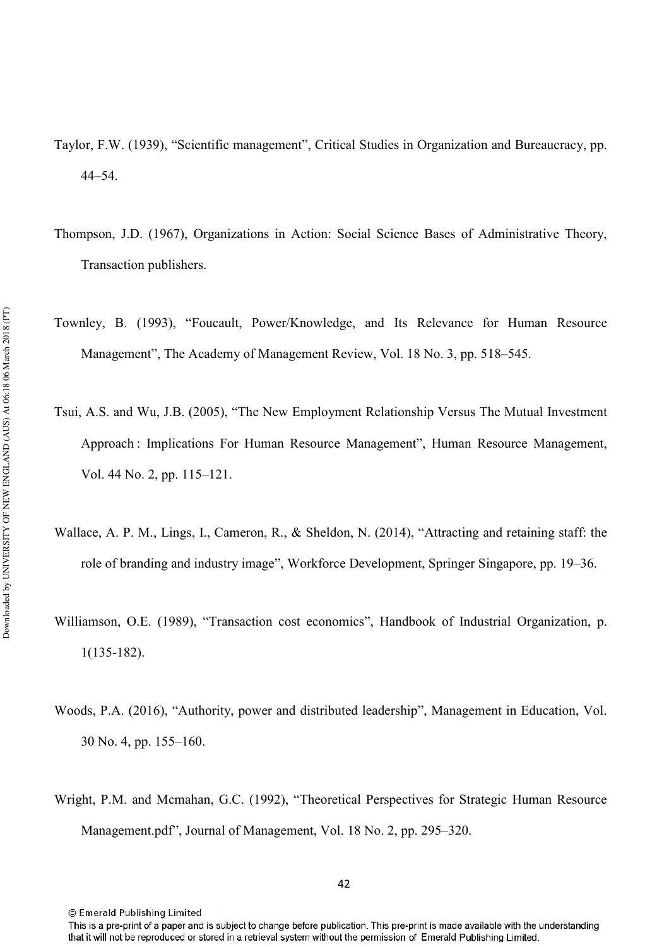- Taylor, F.W. (1939), "Scientific management", Critical Studies in Organization and Bureaucracy, pp. 44–54.
- Thompson, J.D. (1967), Organizations in Action: Social Science Bases of Administrative Theory, Transaction publishers.
- Townley, B. (1993), "Foucault, Power/Knowledge, and Its Relevance for Human Resource Management", The Academy of Management Review, Vol. 18 No. 3, pp. 518–545.
- Tsui, A.S. and Wu, J.B. (2005), "The New Employment Relationship Versus The Mutual Investment Approach : Implications For Human Resource Management", Human Resource Management, Vol. 44 No. 2, pp. 115–121.
- Wallace, A. P. M., Lings, I., Cameron, R., & Sheldon, N. (2014), "Attracting and retaining staff: the role of branding and industry image", Workforce Development, Springer Singapore, pp. 19–36.
- Williamson, O.E. (1989), "Transaction cost economics", Handbook of Industrial Organization, p. 1(135182).
- Woods, P.A. (2016), "Authority, power and distributed leadership", Management in Education, Vol. 30 No. 4, pp. 155–160.
- Wright, P.M. and Mcmahan, G.C. (1992), "Theoretical Perspectives for Strategic Human Resource Management.pdf", Journal of Management, Vol. 18 No. 2, pp. 295–320.

This is a pre-print of a paper and is subject to change before publication. This pre-print is made available with the understanding that it will not be reproduced or stored in a retrieval system without the permission of Emerald Publishing Limited.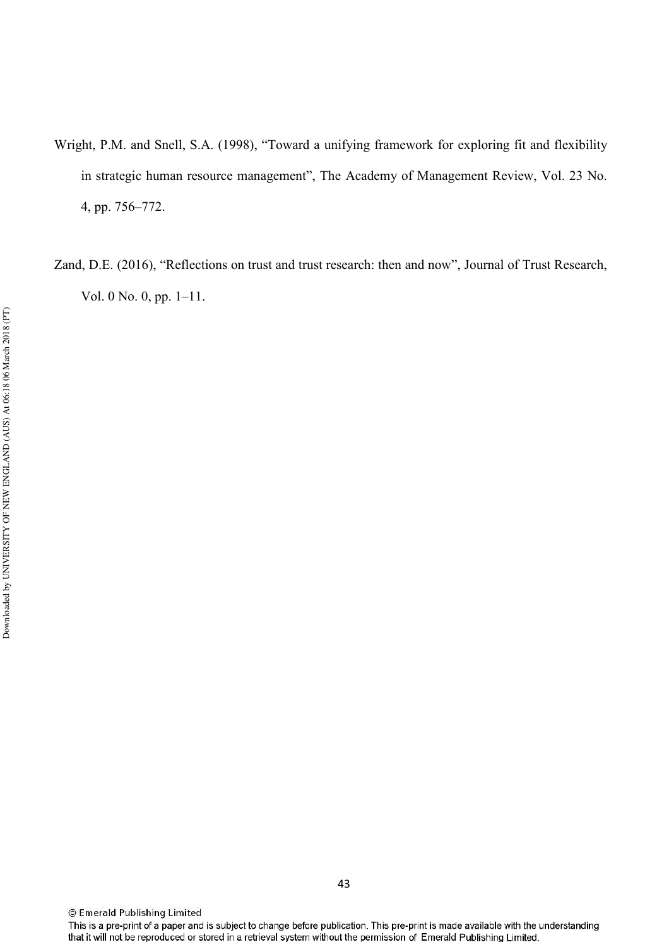- Wright, P.M. and Snell, S.A. (1998), "Toward a unifying framework for exploring fit and flexibility in strategic human resource management", The Academy of Management Review, Vol. 23 No. 4, pp. 756–772.
- Zand, D.E. (2016), "Reflections on trust and trust research: then and now", Journal of Trust Research, Vol. 0 No. 0, pp. 1–11.

<sup>©</sup> Emerald Publishing Limited

This is a pre-print of a paper and is subject to change before publication. This pre-print is made available with the understanding that it will not be reproduced or stored in a retrieval system without the permission of Emerald Publishing Limited.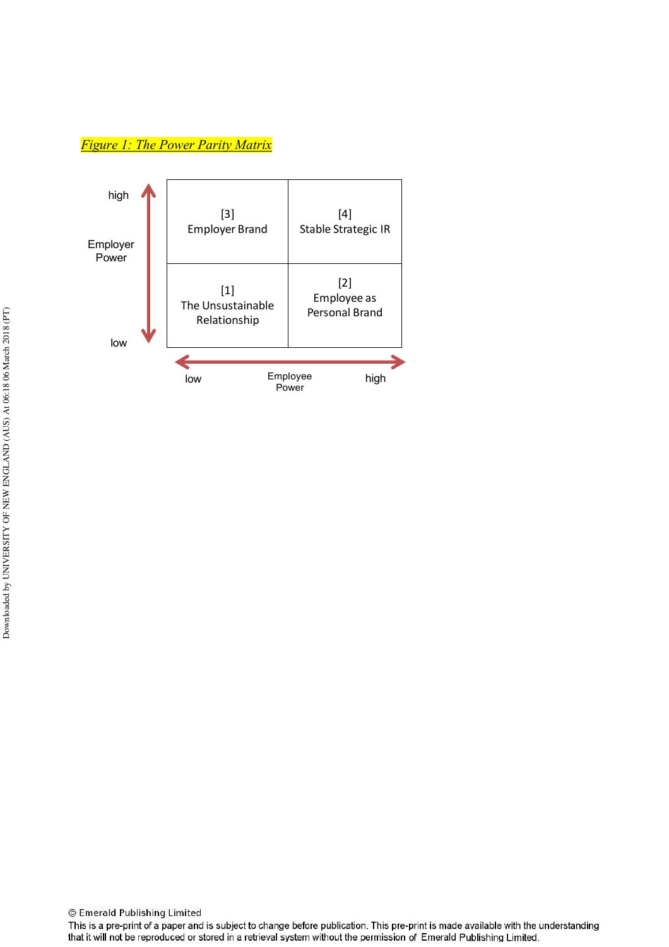<u>*Figure 1: The Power Parity Matrix*</u>



This is a pre-print of a paper and is subject to change before publication. This pre-print is made available with the understanding that it will not be reproduced or stored in a retrieval system without the permission of Emerald Publishing Limited.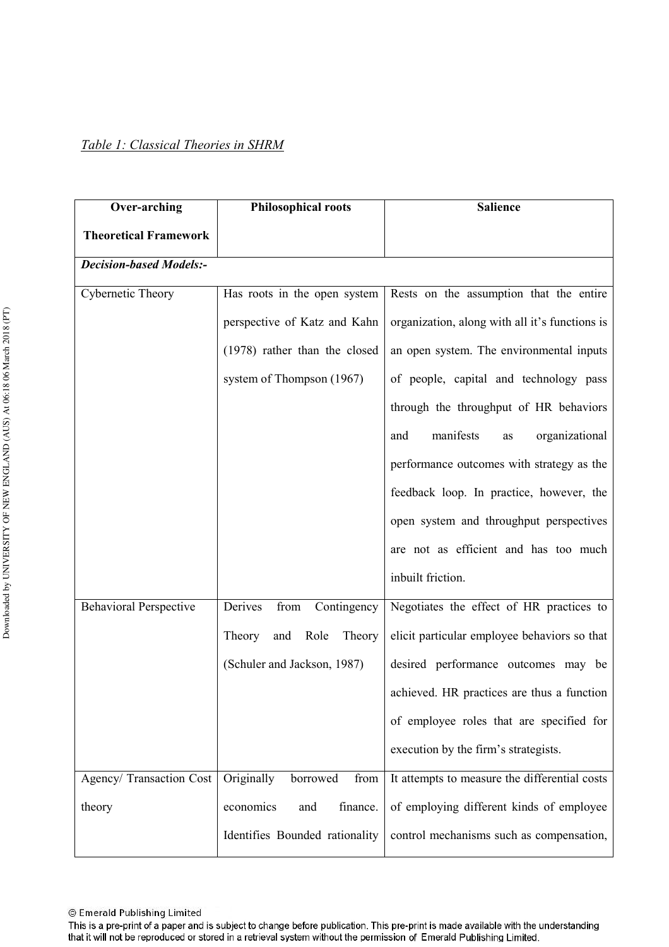| <b>Over-arching</b>            | <b>Philosophical roots</b>      | <b>Salience</b>                                |
|--------------------------------|---------------------------------|------------------------------------------------|
| <b>Theoretical Framework</b>   |                                 |                                                |
| <b>Decision-based Models:-</b> |                                 |                                                |
| Cybernetic Theory              | Has roots in the open system    | Rests on the assumption that the entire        |
|                                | perspective of Katz and Kahn    | organization, along with all it's functions is |
|                                | (1978) rather than the closed   | an open system. The environmental inputs       |
|                                | system of Thompson (1967)       | of people, capital and technology pass         |
|                                |                                 | through the throughput of HR behaviors         |
|                                |                                 | manifests<br>organizational<br>and<br>as       |
|                                |                                 | performance outcomes with strategy as the      |
|                                |                                 | feedback loop. In practice, however, the       |
|                                |                                 | open system and throughput perspectives        |
|                                |                                 | are not as efficient and has too much          |
|                                |                                 | inbuilt friction.                              |
| <b>Behavioral Perspective</b>  | Derives<br>from<br>Contingency  | Negotiates the effect of HR practices to       |
|                                | and<br>Role<br>Theory<br>Theory | elicit particular employee behaviors so that   |
|                                | (Schuler and Jackson, 1987)     | desired performance outcomes may be            |
|                                |                                 | achieved. HR practices are thus a function     |
|                                |                                 | of employee roles that are specified for       |
|                                |                                 | execution by the firm's strategists.           |
| Agency/ Transaction Cost       | Originally<br>borrowed<br>from  | It attempts to measure the differential costs  |
| theory                         | economics<br>finance.<br>and    | of employing different kinds of employee       |
|                                | Identifies Bounded rationality  | control mechanisms such as compensation,       |

This is a pre-print of a paper and is subject to change before publication. This pre-print is made available with the understanding that it will not be reproduced or stored in a retrieval system without the permission of Emerald Publishing Limited.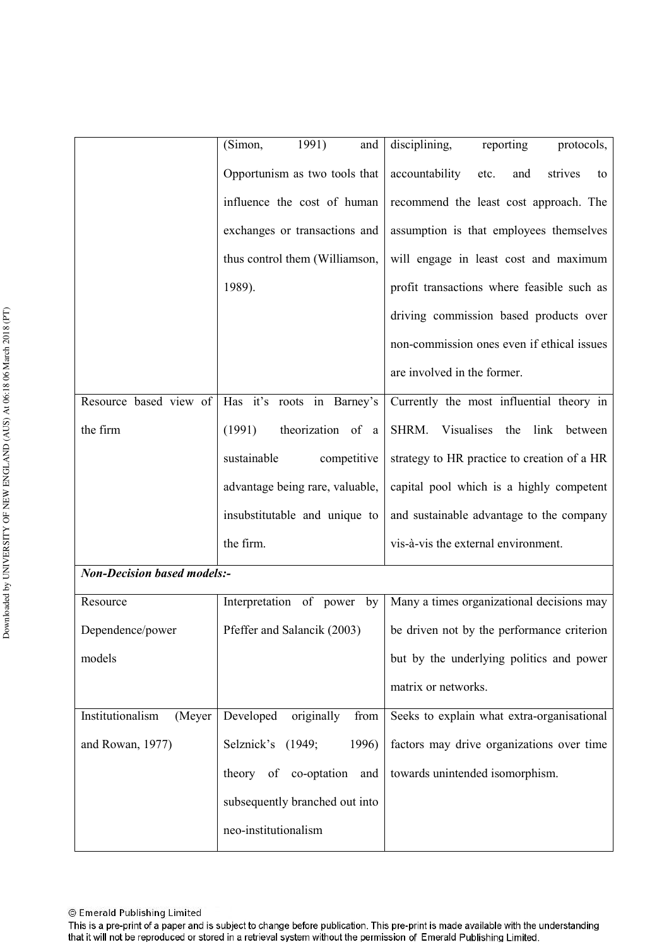|                                    | 1991)<br>(Simon,<br>and         | disciplining,<br>reporting<br>protocols,       |
|------------------------------------|---------------------------------|------------------------------------------------|
|                                    |                                 |                                                |
|                                    | Opportunism as two tools that   | accountability<br>strives<br>and<br>etc.<br>to |
|                                    | influence the cost of human     | recommend the least cost approach. The         |
|                                    | exchanges or transactions and   | assumption is that employees themselves        |
|                                    | thus control them (Williamson,  | will engage in least cost and maximum          |
|                                    | 1989).                          | profit transactions where feasible such as     |
|                                    |                                 | driving commission based products over         |
|                                    |                                 | non-commission ones even if ethical issues     |
|                                    |                                 | are involved in the former.                    |
| Resource based view of             | Has it's roots in Barney's      | Currently the most influential theory in       |
| the firm                           | theorization of a<br>(1991)     | SHRM.<br>Visualises the<br>link<br>between     |
|                                    | sustainable<br>competitive      | strategy to HR practice to creation of a HR    |
|                                    | advantage being rare, valuable, | capital pool which is a highly competent       |
|                                    | insubstitutable and unique to   | and sustainable advantage to the company       |
|                                    | the firm.                       | vis-à-vis the external environment.            |
| <b>Non-Decision based models:-</b> |                                 |                                                |
| Resource                           | Interpretation of power<br>by   | Many a times organizational decisions may      |
| Dependence/power                   | Pfeffer and Salancik (2003)     | be driven not by the performance criterion     |
| models                             |                                 | but by the underlying politics and power       |
|                                    |                                 | matrix or networks.                            |
| Institutionalism<br>(Meyer         | originally<br>Developed<br>from | Seeks to explain what extra-organisational     |
| and Rowan, 1977)                   | Selznick's (1949;<br>1996)      | factors may drive organizations over time      |
|                                    | theory of co-optation<br>and    | towards unintended isomorphism.                |
|                                    | subsequently branched out into  |                                                |
|                                    | neo-institutionalism            |                                                |
|                                    |                                 |                                                |

This is a pre-print of a paper and is subject to change before publication. This pre-print is made available with the understanding that it will not be reproduced or stored in a retrieval system without the permission of Emerald Publishing Limited.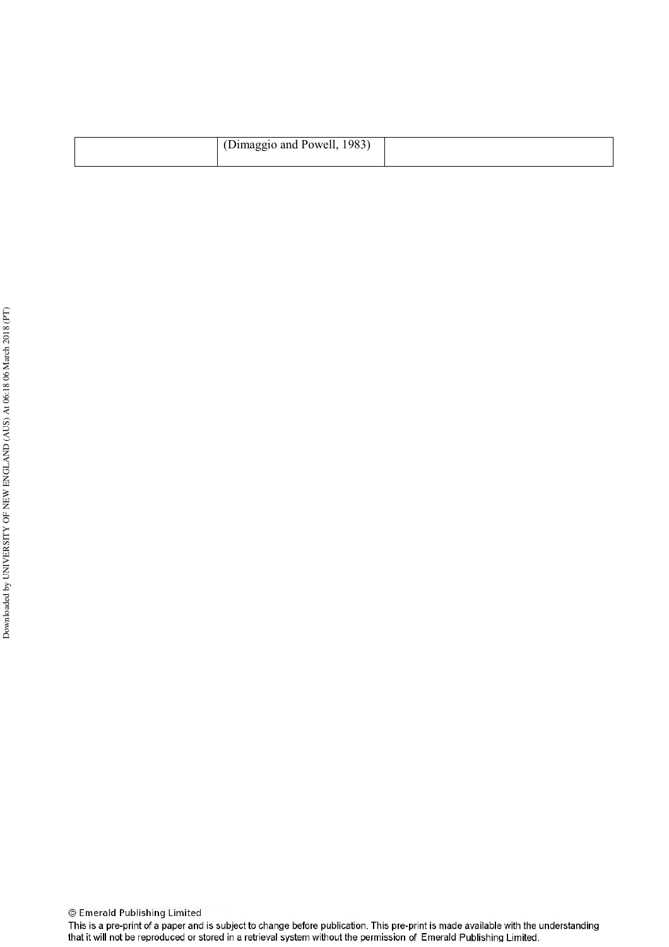| (Dimaggio and Powell, 1983) |  |
|-----------------------------|--|
|                             |  |

 $\overline{\phantom{a}}$ 

This is a pre-print of a paper and is subject to change before publication. This pre-print is made available with the understanding<br>that it will not be reproduced or stored in a retrieval system without the permission of E